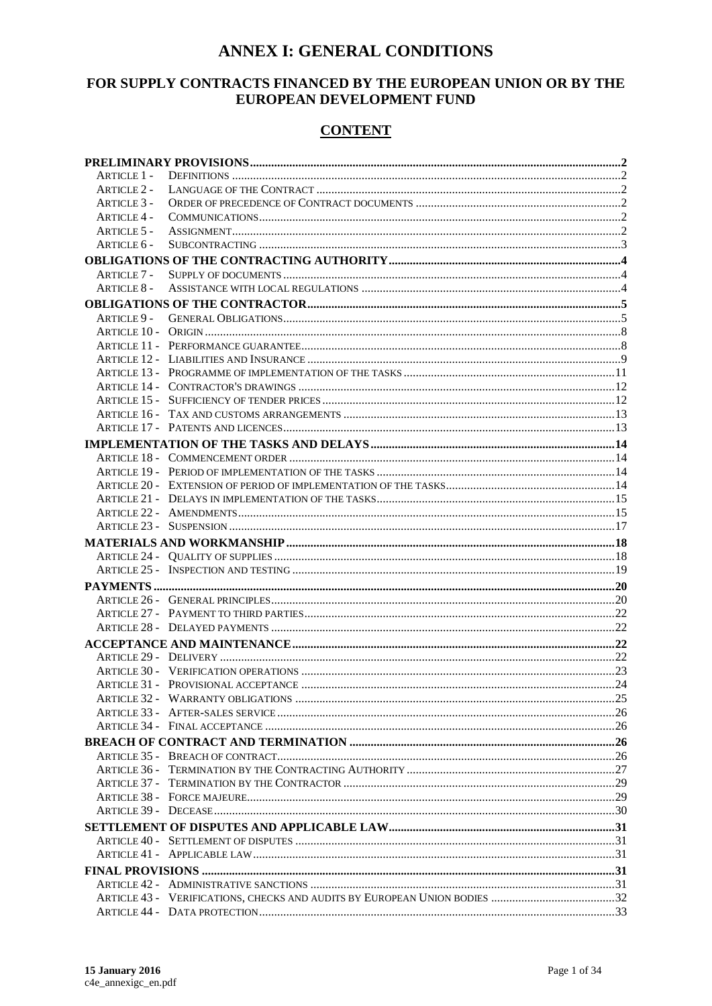## **ANNEX I: GENERAL CONDITIONS**

### FOR SUPPLY CONTRACTS FINANCED BY THE EUROPEAN UNION OR BY THE EUROPEAN DEVELOPMENT FUND

### **CONTENT**

| ARTICLE 1 -        |  |  |
|--------------------|--|--|
| <b>ARTICLE 2 -</b> |  |  |
| ARTICLE 3 -        |  |  |
| <b>ARTICLE 4 -</b> |  |  |
| <b>ARTICLE 5 -</b> |  |  |
| ARTICLE 6 -        |  |  |
|                    |  |  |
| Article 7 -        |  |  |
| <b>ARTICLE 8 -</b> |  |  |
|                    |  |  |
|                    |  |  |
|                    |  |  |
|                    |  |  |
|                    |  |  |
|                    |  |  |
|                    |  |  |
|                    |  |  |
|                    |  |  |
|                    |  |  |
|                    |  |  |
|                    |  |  |
|                    |  |  |
|                    |  |  |
|                    |  |  |
|                    |  |  |
|                    |  |  |
|                    |  |  |
|                    |  |  |
|                    |  |  |
|                    |  |  |
|                    |  |  |
|                    |  |  |
|                    |  |  |
|                    |  |  |
|                    |  |  |
|                    |  |  |
|                    |  |  |
|                    |  |  |
|                    |  |  |
|                    |  |  |
|                    |  |  |
|                    |  |  |
|                    |  |  |
|                    |  |  |
|                    |  |  |
|                    |  |  |
|                    |  |  |
|                    |  |  |
|                    |  |  |
|                    |  |  |
|                    |  |  |
|                    |  |  |
|                    |  |  |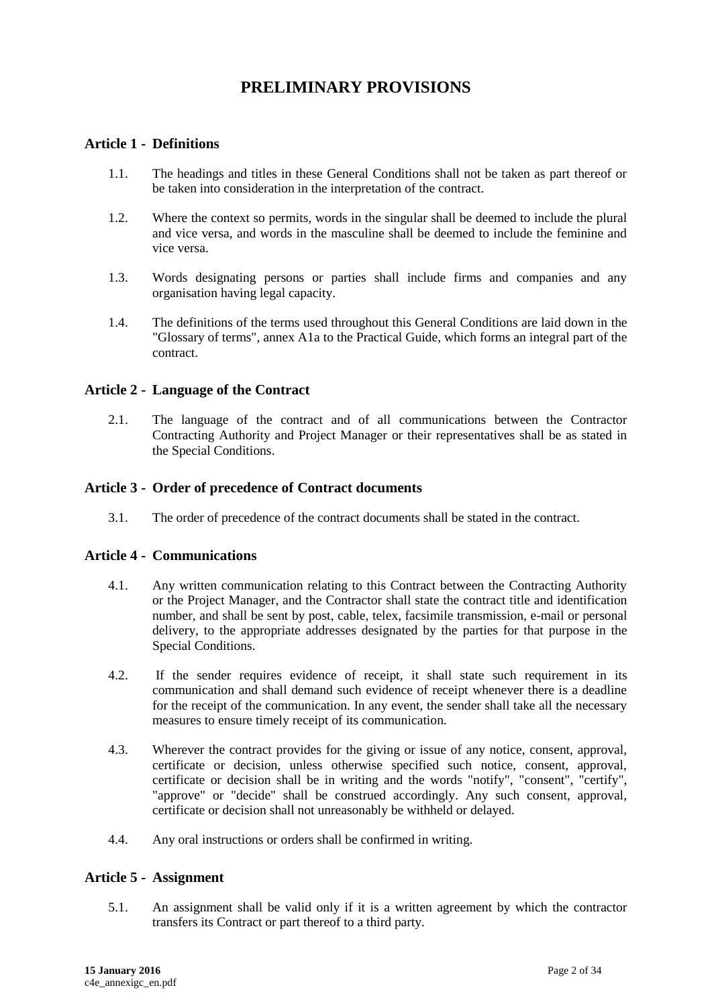## **PRELIMINARY PROVISIONS**

#### <span id="page-1-1"></span><span id="page-1-0"></span>**Article 1 - Definitions**

- 1.1. The headings and titles in these General Conditions shall not be taken as part thereof or be taken into consideration in the interpretation of the contract.
- 1.2. Where the context so permits, words in the singular shall be deemed to include the plural and vice versa, and words in the masculine shall be deemed to include the feminine and vice versa.
- 1.3. Words designating persons or parties shall include firms and companies and any organisation having legal capacity.
- 1.4. The definitions of the terms used throughout this General Conditions are laid down in the "Glossary of terms", annex A1a to the Practical Guide, which forms an integral part of the contract.

#### <span id="page-1-2"></span>**Article 2 - Language of the Contract**

2.1. The language of the contract and of all communications between the Contractor Contracting Authority and Project Manager or their representatives shall be as stated in the Special Conditions.

#### <span id="page-1-3"></span>**Article 3 - Order of precedence of Contract documents**

3.1. The order of precedence of the contract documents shall be stated in the contract.

#### <span id="page-1-4"></span>**Article 4 - Communications**

- 4.1. Any written communication relating to this Contract between the Contracting Authority or the Project Manager, and the Contractor shall state the contract title and identification number, and shall be sent by post, cable, telex, facsimile transmission, e-mail or personal delivery, to the appropriate addresses designated by the parties for that purpose in the Special Conditions.
- 4.2. If the sender requires evidence of receipt, it shall state such requirement in its communication and shall demand such evidence of receipt whenever there is a deadline for the receipt of the communication. In any event, the sender shall take all the necessary measures to ensure timely receipt of its communication.
- 4.3. Wherever the contract provides for the giving or issue of any notice, consent, approval, certificate or decision, unless otherwise specified such notice, consent, approval, certificate or decision shall be in writing and the words "notify", "consent", "certify", "approve" or "decide" shall be construed accordingly. Any such consent, approval, certificate or decision shall not unreasonably be withheld or delayed.
- 4.4. Any oral instructions or orders shall be confirmed in writing.

#### <span id="page-1-5"></span>**Article 5 - Assignment**

5.1. An assignment shall be valid only if it is a written agreement by which the contractor transfers its Contract or part thereof to a third party.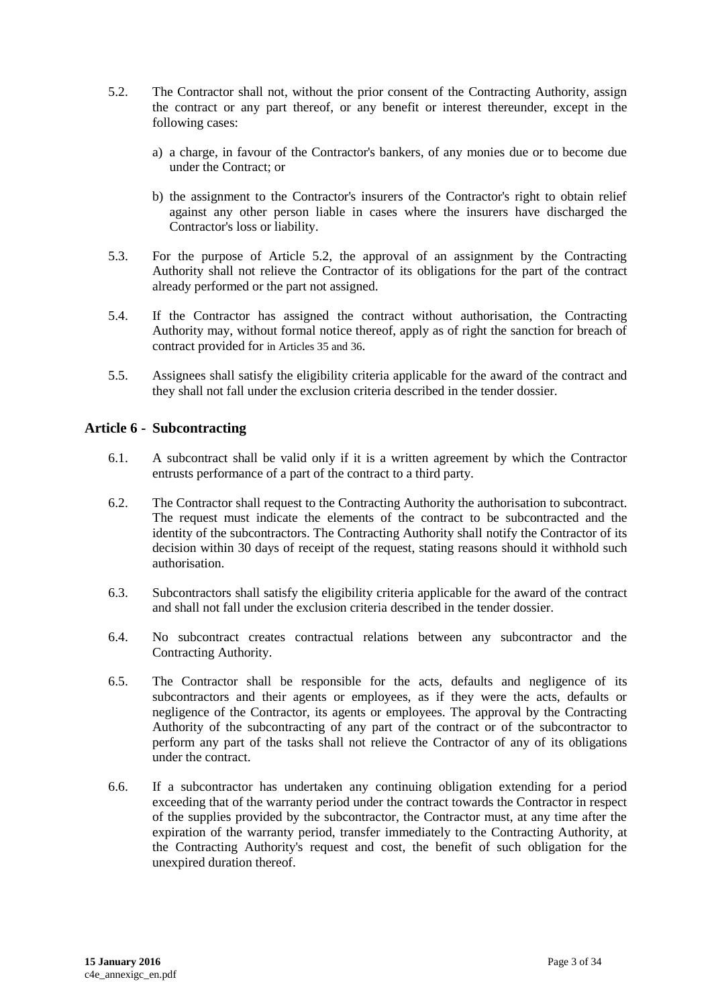- 5.2. The Contractor shall not, without the prior consent of the Contracting Authority, assign the contract or any part thereof, or any benefit or interest thereunder, except in the following cases:
	- a) a charge, in favour of the Contractor's bankers, of any monies due or to become due under the Contract; or
	- b) the assignment to the Contractor's insurers of the Contractor's right to obtain relief against any other person liable in cases where the insurers have discharged the Contractor's loss or liability.
- 5.3. For the purpose of Article 5.2, the approval of an assignment by the Contracting Authority shall not relieve the Contractor of its obligations for the part of the contract already performed or the part not assigned.
- 5.4. If the Contractor has assigned the contract without authorisation, the Contracting Authority may, without formal notice thereof, apply as of right the sanction for breach of contract provided for in Articles 35 and 36.
- 5.5. Assignees shall satisfy the eligibility criteria applicable for the award of the contract and they shall not fall under the exclusion criteria described in the tender dossier.

#### <span id="page-2-0"></span>**Article 6 - Subcontracting**

- 6.1. A subcontract shall be valid only if it is a written agreement by which the Contractor entrusts performance of a part of the contract to a third party.
- 6.2. The Contractor shall request to the Contracting Authority the authorisation to subcontract. The request must indicate the elements of the contract to be subcontracted and the identity of the subcontractors. The Contracting Authority shall notify the Contractor of its decision within 30 days of receipt of the request, stating reasons should it withhold such authorisation.
- 6.3. Subcontractors shall satisfy the eligibility criteria applicable for the award of the contract and shall not fall under the exclusion criteria described in the tender dossier.
- 6.4. No subcontract creates contractual relations between any subcontractor and the Contracting Authority.
- 6.5. The Contractor shall be responsible for the acts, defaults and negligence of its subcontractors and their agents or employees, as if they were the acts, defaults or negligence of the Contractor, its agents or employees. The approval by the Contracting Authority of the subcontracting of any part of the contract or of the subcontractor to perform any part of the tasks shall not relieve the Contractor of any of its obligations under the contract.
- 6.6. If a subcontractor has undertaken any continuing obligation extending for a period exceeding that of the warranty period under the contract towards the Contractor in respect of the supplies provided by the subcontractor, the Contractor must, at any time after the expiration of the warranty period, transfer immediately to the Contracting Authority, at the Contracting Authority's request and cost, the benefit of such obligation for the unexpired duration thereof.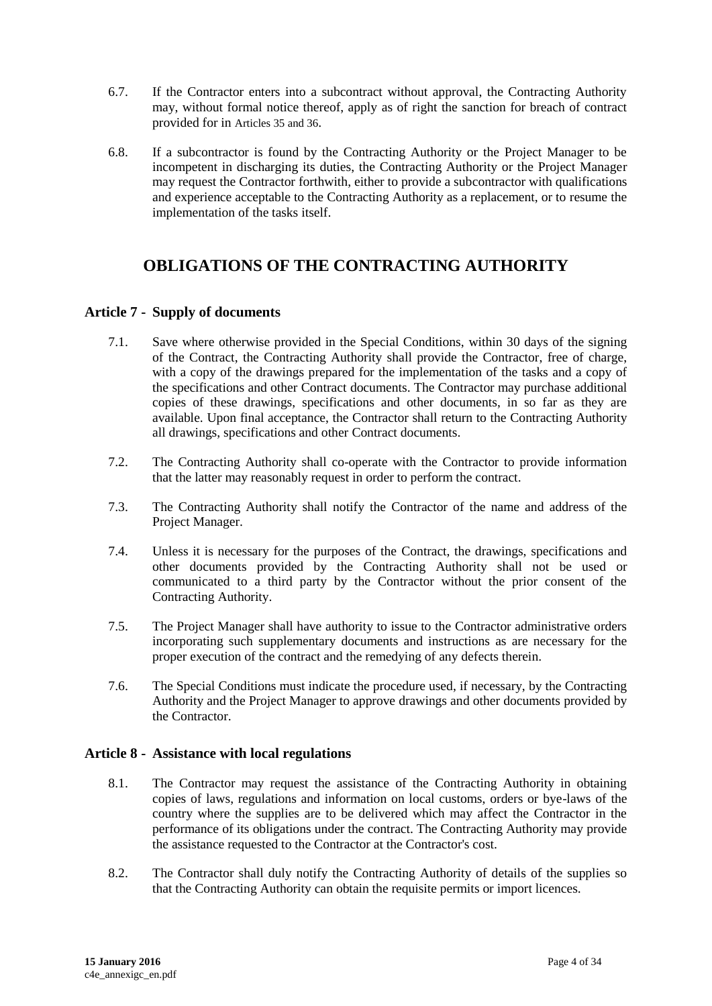- 6.7. If the Contractor enters into a subcontract without approval, the Contracting Authority may, without formal notice thereof, apply as of right the sanction for breach of contract provided for in Articles 35 and 36.
- 6.8. If a subcontractor is found by the Contracting Authority or the Project Manager to be incompetent in discharging its duties, the Contracting Authority or the Project Manager may request the Contractor forthwith, either to provide a subcontractor with qualifications and experience acceptable to the Contracting Authority as a replacement, or to resume the implementation of the tasks itself.

## <span id="page-3-0"></span>**OBLIGATIONS OF THE CONTRACTING AUTHORITY**

### <span id="page-3-1"></span>**Article 7 - Supply of documents**

- 7.1. Save where otherwise provided in the Special Conditions, within 30 days of the signing of the Contract, the Contracting Authority shall provide the Contractor, free of charge, with a copy of the drawings prepared for the implementation of the tasks and a copy of the specifications and other Contract documents. The Contractor may purchase additional copies of these drawings, specifications and other documents, in so far as they are available. Upon final acceptance, the Contractor shall return to the Contracting Authority all drawings, specifications and other Contract documents.
- 7.2. The Contracting Authority shall co-operate with the Contractor to provide information that the latter may reasonably request in order to perform the contract.
- 7.3. The Contracting Authority shall notify the Contractor of the name and address of the Project Manager.
- 7.4. Unless it is necessary for the purposes of the Contract, the drawings, specifications and other documents provided by the Contracting Authority shall not be used or communicated to a third party by the Contractor without the prior consent of the Contracting Authority.
- 7.5. The Project Manager shall have authority to issue to the Contractor administrative orders incorporating such supplementary documents and instructions as are necessary for the proper execution of the contract and the remedying of any defects therein.
- 7.6. The Special Conditions must indicate the procedure used, if necessary, by the Contracting Authority and the Project Manager to approve drawings and other documents provided by the Contractor.

#### <span id="page-3-2"></span>**Article 8 - Assistance with local regulations**

- 8.1. The Contractor may request the assistance of the Contracting Authority in obtaining copies of laws, regulations and information on local customs, orders or bye-laws of the country where the supplies are to be delivered which may affect the Contractor in the performance of its obligations under the contract. The Contracting Authority may provide the assistance requested to the Contractor at the Contractor's cost.
- 8.2. The Contractor shall duly notify the Contracting Authority of details of the supplies so that the Contracting Authority can obtain the requisite permits or import licences.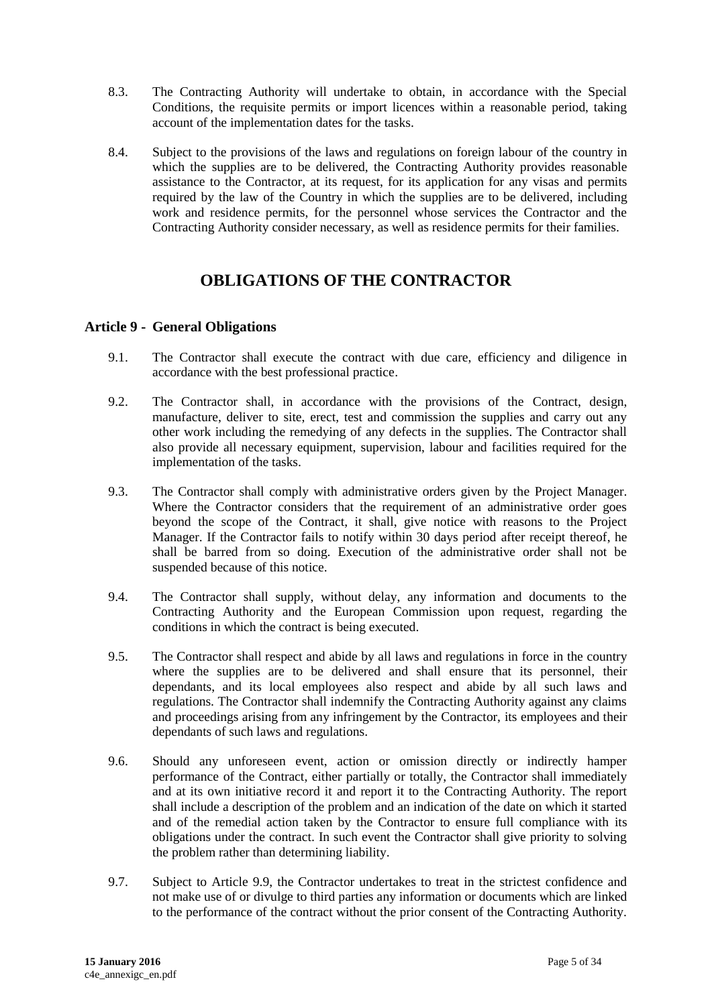- 8.3. The Contracting Authority will undertake to obtain, in accordance with the Special Conditions, the requisite permits or import licences within a reasonable period, taking account of the implementation dates for the tasks.
- 8.4. Subject to the provisions of the laws and regulations on foreign labour of the country in which the supplies are to be delivered, the Contracting Authority provides reasonable assistance to the Contractor, at its request, for its application for any visas and permits required by the law of the Country in which the supplies are to be delivered, including work and residence permits, for the personnel whose services the Contractor and the Contracting Authority consider necessary, as well as residence permits for their families.

# **OBLIGATIONS OF THE CONTRACTOR**

#### <span id="page-4-1"></span><span id="page-4-0"></span>**Article 9 - General Obligations**

- 9.1. The Contractor shall execute the contract with due care, efficiency and diligence in accordance with the best professional practice.
- 9.2. The Contractor shall, in accordance with the provisions of the Contract, design, manufacture, deliver to site, erect, test and commission the supplies and carry out any other work including the remedying of any defects in the supplies. The Contractor shall also provide all necessary equipment, supervision, labour and facilities required for the implementation of the tasks.
- 9.3. The Contractor shall comply with administrative orders given by the Project Manager. Where the Contractor considers that the requirement of an administrative order goes beyond the scope of the Contract, it shall, give notice with reasons to the Project Manager. If the Contractor fails to notify within 30 days period after receipt thereof, he shall be barred from so doing. Execution of the administrative order shall not be suspended because of this notice.
- 9.4. The Contractor shall supply, without delay, any information and documents to the Contracting Authority and the European Commission upon request, regarding the conditions in which the contract is being executed.
- 9.5. The Contractor shall respect and abide by all laws and regulations in force in the country where the supplies are to be delivered and shall ensure that its personnel, their dependants, and its local employees also respect and abide by all such laws and regulations. The Contractor shall indemnify the Contracting Authority against any claims and proceedings arising from any infringement by the Contractor, its employees and their dependants of such laws and regulations.
- 9.6. Should any unforeseen event, action or omission directly or indirectly hamper performance of the Contract, either partially or totally, the Contractor shall immediately and at its own initiative record it and report it to the Contracting Authority. The report shall include a description of the problem and an indication of the date on which it started and of the remedial action taken by the Contractor to ensure full compliance with its obligations under the contract. In such event the Contractor shall give priority to solving the problem rather than determining liability.
- 9.7. Subject to Article 9.9, the Contractor undertakes to treat in the strictest confidence and not make use of or divulge to third parties any information or documents which are linked to the performance of the contract without the prior consent of the Contracting Authority.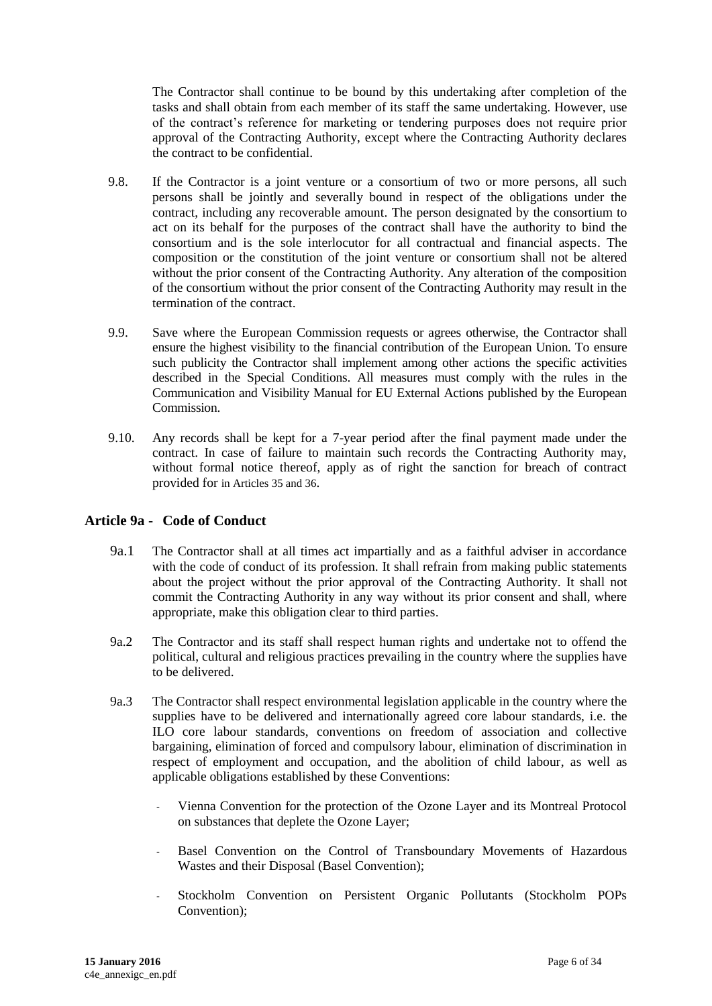The Contractor shall continue to be bound by this undertaking after completion of the tasks and shall obtain from each member of its staff the same undertaking. However, use of the contract's reference for marketing or tendering purposes does not require prior approval of the Contracting Authority, except where the Contracting Authority declares the contract to be confidential.

- 9.8. If the Contractor is a joint venture or a consortium of two or more persons, all such persons shall be jointly and severally bound in respect of the obligations under the contract, including any recoverable amount. The person designated by the consortium to act on its behalf for the purposes of the contract shall have the authority to bind the consortium and is the sole interlocutor for all contractual and financial aspects. The composition or the constitution of the joint venture or consortium shall not be altered without the prior consent of the Contracting Authority. Any alteration of the composition of the consortium without the prior consent of the Contracting Authority may result in the termination of the contract.
- 9.9. Save where the European Commission requests or agrees otherwise, the Contractor shall ensure the highest visibility to the financial contribution of the European Union. To ensure such publicity the Contractor shall implement among other actions the specific activities described in the Special Conditions. All measures must comply with the rules in the Communication and Visibility Manual for EU External Actions published by the European Commission.
- 9.10. Any records shall be kept for a 7-year period after the final payment made under the contract. In case of failure to maintain such records the Contracting Authority may, without formal notice thereof, apply as of right the sanction for breach of contract provided for in Articles 35 and 36.

#### **Article 9a - Code of Conduct**

- 9a.1 The Contractor shall at all times act impartially and as a faithful adviser in accordance with the code of conduct of its profession. It shall refrain from making public statements about the project without the prior approval of the Contracting Authority. It shall not commit the Contracting Authority in any way without its prior consent and shall, where appropriate, make this obligation clear to third parties.
- 9a.2 The Contractor and its staff shall respect human rights and undertake not to offend the political, cultural and religious practices prevailing in the country where the supplies have to be delivered.
- 9a.3 The Contractor shall respect environmental legislation applicable in the country where the supplies have to be delivered and internationally agreed core labour standards, i.e. the ILO core labour standards, conventions on freedom of association and collective bargaining, elimination of forced and compulsory labour, elimination of discrimination in respect of employment and occupation, and the abolition of child labour, as well as applicable obligations established by these Conventions:
	- Vienna Convention for the protection of the Ozone Layer and its Montreal Protocol on substances that deplete the Ozone Layer;
	- Basel Convention on the Control of Transboundary Movements of Hazardous Wastes and their Disposal (Basel Convention);
	- Stockholm Convention on Persistent Organic Pollutants (Stockholm POPs Convention);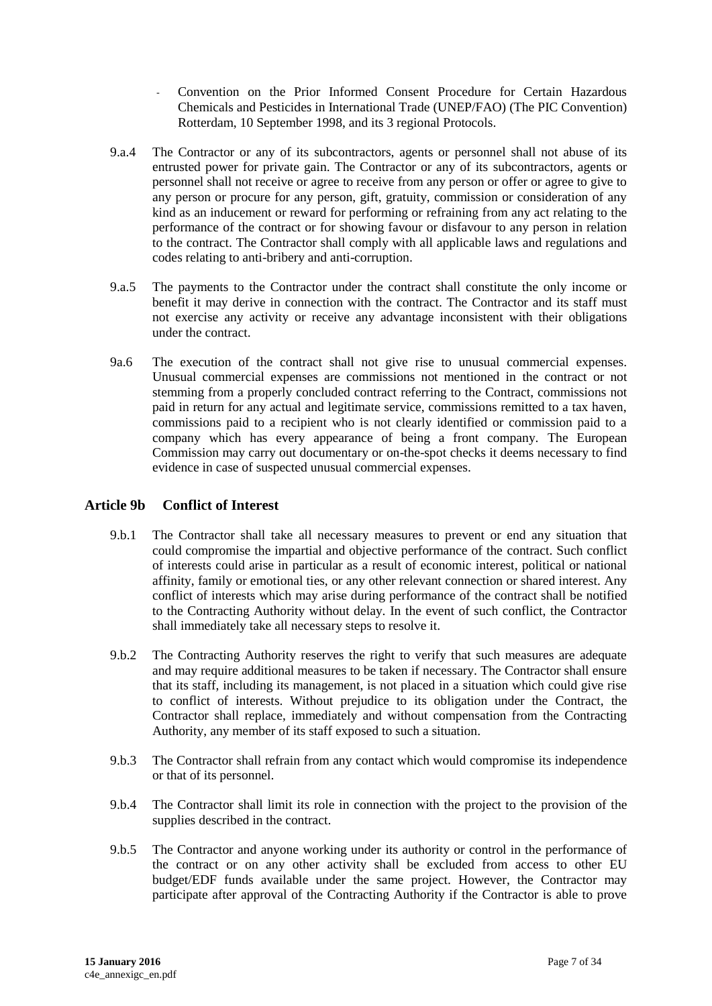- Convention on the Prior Informed Consent Procedure for Certain Hazardous Chemicals and Pesticides in International Trade (UNEP/FAO) (The PIC Convention) Rotterdam, 10 September 1998, and its 3 regional Protocols.
- 9.a.4 The Contractor or any of its subcontractors, agents or personnel shall not abuse of its entrusted power for private gain. The Contractor or any of its subcontractors, agents or personnel shall not receive or agree to receive from any person or offer or agree to give to any person or procure for any person, gift, gratuity, commission or consideration of any kind as an inducement or reward for performing or refraining from any act relating to the performance of the contract or for showing favour or disfavour to any person in relation to the contract. The Contractor shall comply with all applicable laws and regulations and codes relating to anti-bribery and anti-corruption.
- 9.a.5 The payments to the Contractor under the contract shall constitute the only income or benefit it may derive in connection with the contract. The Contractor and its staff must not exercise any activity or receive any advantage inconsistent with their obligations under the contract.
- 9a.6 The execution of the contract shall not give rise to unusual commercial expenses. Unusual commercial expenses are commissions not mentioned in the contract or not stemming from a properly concluded contract referring to the Contract, commissions not paid in return for any actual and legitimate service, commissions remitted to a tax haven, commissions paid to a recipient who is not clearly identified or commission paid to a company which has every appearance of being a front company. The European Commission may carry out documentary or on-the-spot checks it deems necessary to find evidence in case of suspected unusual commercial expenses.

#### **Article 9b Conflict of Interest**

- 9.b.1 The Contractor shall take all necessary measures to prevent or end any situation that could compromise the impartial and objective performance of the contract. Such conflict of interests could arise in particular as a result of economic interest, political or national affinity, family or emotional ties, or any other relevant connection or shared interest. Any conflict of interests which may arise during performance of the contract shall be notified to the Contracting Authority without delay. In the event of such conflict, the Contractor shall immediately take all necessary steps to resolve it.
- 9.b.2 The Contracting Authority reserves the right to verify that such measures are adequate and may require additional measures to be taken if necessary. The Contractor shall ensure that its staff, including its management, is not placed in a situation which could give rise to conflict of interests. Without prejudice to its obligation under the Contract, the Contractor shall replace, immediately and without compensation from the Contracting Authority, any member of its staff exposed to such a situation.
- 9.b.3 The Contractor shall refrain from any contact which would compromise its independence or that of its personnel.
- 9.b.4 The Contractor shall limit its role in connection with the project to the provision of the supplies described in the contract.
- 9.b.5 The Contractor and anyone working under its authority or control in the performance of the contract or on any other activity shall be excluded from access to other EU budget/EDF funds available under the same project. However, the Contractor may participate after approval of the Contracting Authority if the Contractor is able to prove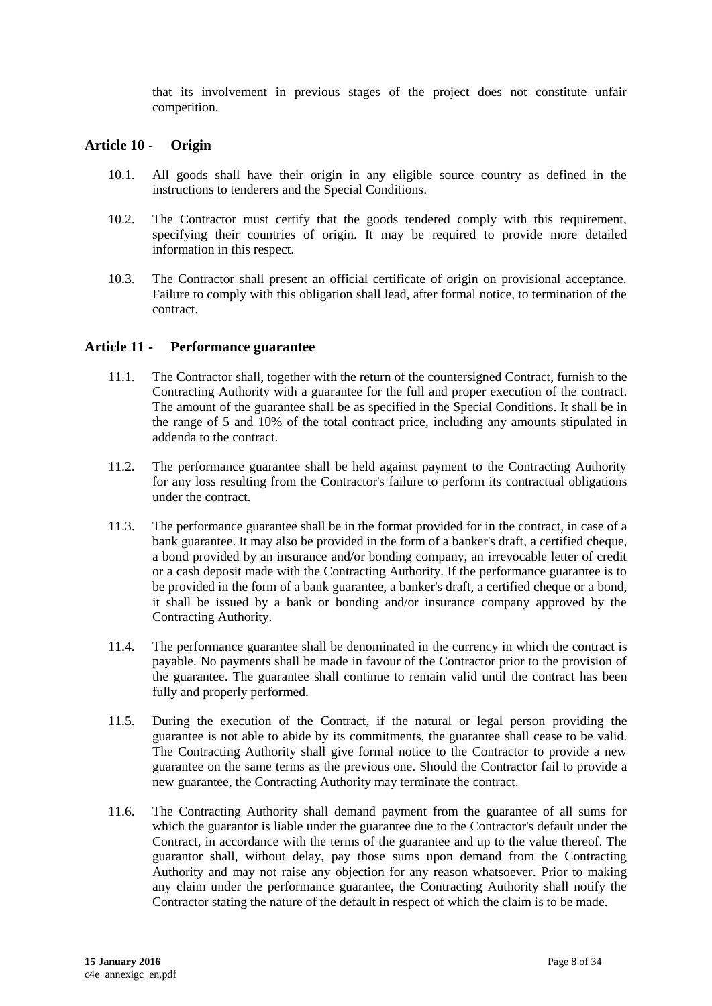that its involvement in previous stages of the project does not constitute unfair competition.

#### <span id="page-7-0"></span>**Article 10 - Origin**

- 10.1. All goods shall have their origin in any eligible source country as defined in the instructions to tenderers and the Special Conditions.
- 10.2. The Contractor must certify that the goods tendered comply with this requirement, specifying their countries of origin. It may be required to provide more detailed information in this respect.
- 10.3. The Contractor shall present an official certificate of origin on provisional acceptance. Failure to comply with this obligation shall lead, after formal notice, to termination of the contract.

#### <span id="page-7-1"></span>**Article 11 - Performance guarantee**

- 11.1. The Contractor shall, together with the return of the countersigned Contract, furnish to the Contracting Authority with a guarantee for the full and proper execution of the contract. The amount of the guarantee shall be as specified in the Special Conditions. It shall be in the range of 5 and 10% of the total contract price, including any amounts stipulated in addenda to the contract.
- 11.2. The performance guarantee shall be held against payment to the Contracting Authority for any loss resulting from the Contractor's failure to perform its contractual obligations under the contract.
- 11.3. The performance guarantee shall be in the format provided for in the contract, in case of a bank guarantee. It may also be provided in the form of a banker's draft, a certified cheque, a bond provided by an insurance and/or bonding company, an irrevocable letter of credit or a cash deposit made with the Contracting Authority. If the performance guarantee is to be provided in the form of a bank guarantee, a banker's draft, a certified cheque or a bond, it shall be issued by a bank or bonding and/or insurance company approved by the Contracting Authority.
- 11.4. The performance guarantee shall be denominated in the currency in which the contract is payable. No payments shall be made in favour of the Contractor prior to the provision of the guarantee. The guarantee shall continue to remain valid until the contract has been fully and properly performed.
- 11.5. During the execution of the Contract, if the natural or legal person providing the guarantee is not able to abide by its commitments, the guarantee shall cease to be valid. The Contracting Authority shall give formal notice to the Contractor to provide a new guarantee on the same terms as the previous one. Should the Contractor fail to provide a new guarantee, the Contracting Authority may terminate the contract.
- 11.6. The Contracting Authority shall demand payment from the guarantee of all sums for which the guarantor is liable under the guarantee due to the Contractor's default under the Contract, in accordance with the terms of the guarantee and up to the value thereof. The guarantor shall, without delay, pay those sums upon demand from the Contracting Authority and may not raise any objection for any reason whatsoever. Prior to making any claim under the performance guarantee, the Contracting Authority shall notify the Contractor stating the nature of the default in respect of which the claim is to be made.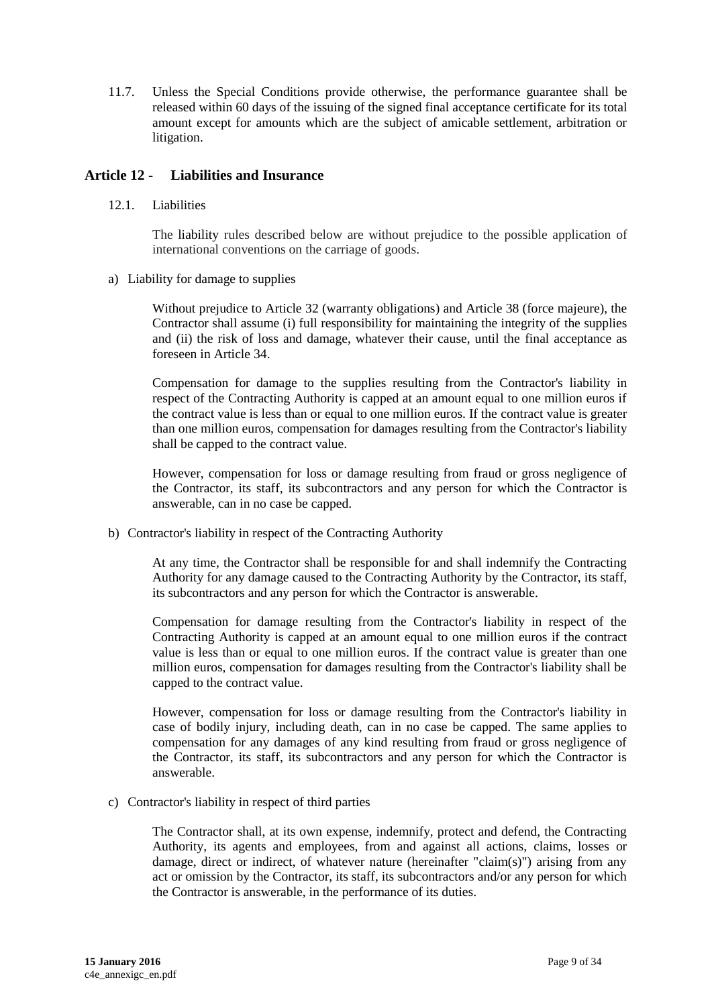11.7. Unless the Special Conditions provide otherwise, the performance guarantee shall be released within 60 days of the issuing of the signed final acceptance certificate for its total amount except for amounts which are the subject of amicable settlement, arbitration or litigation.

#### <span id="page-8-0"></span>**Article 12 - Liabilities and Insurance**

12.1. Liabilities

The liability rules described below are without prejudice to the possible application of international conventions on the carriage of goods.

a) Liability for damage to supplies

Without prejudice to Article 32 (warranty obligations) and Article 38 (force majeure), the Contractor shall assume (i) full responsibility for maintaining the integrity of the supplies and (ii) the risk of loss and damage, whatever their cause, until the final acceptance as foreseen in Article 34.

Compensation for damage to the supplies resulting from the Contractor's liability in respect of the Contracting Authority is capped at an amount equal to one million euros if the contract value is less than or equal to one million euros. If the contract value is greater than one million euros, compensation for damages resulting from the Contractor's liability shall be capped to the contract value.

However, compensation for loss or damage resulting from fraud or gross negligence of the Contractor, its staff, its subcontractors and any person for which the Contractor is answerable, can in no case be capped.

b) Contractor's liability in respect of the Contracting Authority

At any time, the Contractor shall be responsible for and shall indemnify the Contracting Authority for any damage caused to the Contracting Authority by the Contractor, its staff, its subcontractors and any person for which the Contractor is answerable.

Compensation for damage resulting from the Contractor's liability in respect of the Contracting Authority is capped at an amount equal to one million euros if the contract value is less than or equal to one million euros. If the contract value is greater than one million euros, compensation for damages resulting from the Contractor's liability shall be capped to the contract value.

However, compensation for loss or damage resulting from the Contractor's liability in case of bodily injury, including death, can in no case be capped. The same applies to compensation for any damages of any kind resulting from fraud or gross negligence of the Contractor, its staff, its subcontractors and any person for which the Contractor is answerable.

c) Contractor's liability in respect of third parties

The Contractor shall, at its own expense, indemnify, protect and defend, the Contracting Authority, its agents and employees, from and against all actions, claims, losses or damage, direct or indirect, of whatever nature (hereinafter "claim(s)") arising from any act or omission by the Contractor, its staff, its subcontractors and/or any person for which the Contractor is answerable, in the performance of its duties.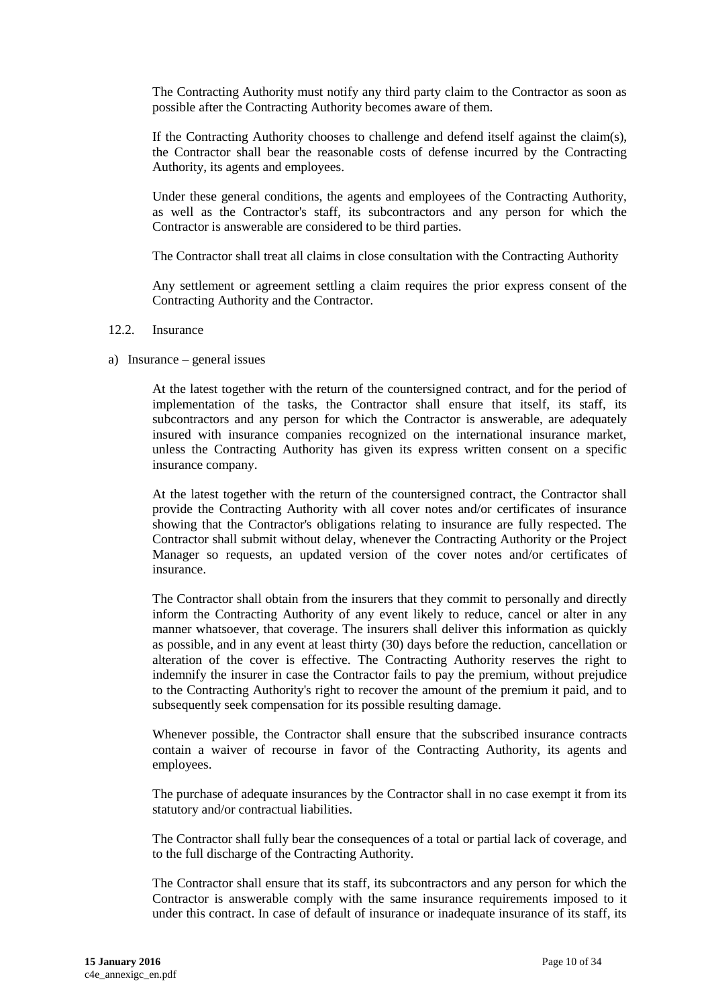The Contracting Authority must notify any third party claim to the Contractor as soon as possible after the Contracting Authority becomes aware of them.

If the Contracting Authority chooses to challenge and defend itself against the claim(s), the Contractor shall bear the reasonable costs of defense incurred by the Contracting Authority, its agents and employees.

Under these general conditions, the agents and employees of the Contracting Authority, as well as the Contractor's staff, its subcontractors and any person for which the Contractor is answerable are considered to be third parties.

The Contractor shall treat all claims in close consultation with the Contracting Authority

Any settlement or agreement settling a claim requires the prior express consent of the Contracting Authority and the Contractor.

#### 12.2. Insurance

a) Insurance – general issues

At the latest together with the return of the countersigned contract, and for the period of implementation of the tasks, the Contractor shall ensure that itself, its staff, its subcontractors and any person for which the Contractor is answerable, are adequately insured with insurance companies recognized on the international insurance market, unless the Contracting Authority has given its express written consent on a specific insurance company.

At the latest together with the return of the countersigned contract, the Contractor shall provide the Contracting Authority with all cover notes and/or certificates of insurance showing that the Contractor's obligations relating to insurance are fully respected. The Contractor shall submit without delay, whenever the Contracting Authority or the Project Manager so requests, an updated version of the cover notes and/or certificates of insurance.

The Contractor shall obtain from the insurers that they commit to personally and directly inform the Contracting Authority of any event likely to reduce, cancel or alter in any manner whatsoever, that coverage. The insurers shall deliver this information as quickly as possible, and in any event at least thirty (30) days before the reduction, cancellation or alteration of the cover is effective. The Contracting Authority reserves the right to indemnify the insurer in case the Contractor fails to pay the premium, without prejudice to the Contracting Authority's right to recover the amount of the premium it paid, and to subsequently seek compensation for its possible resulting damage.

Whenever possible, the Contractor shall ensure that the subscribed insurance contracts contain a waiver of recourse in favor of the Contracting Authority, its agents and employees.

The purchase of adequate insurances by the Contractor shall in no case exempt it from its statutory and/or contractual liabilities.

The Contractor shall fully bear the consequences of a total or partial lack of coverage, and to the full discharge of the Contracting Authority.

The Contractor shall ensure that its staff, its subcontractors and any person for which the Contractor is answerable comply with the same insurance requirements imposed to it under this contract. In case of default of insurance or inadequate insurance of its staff, its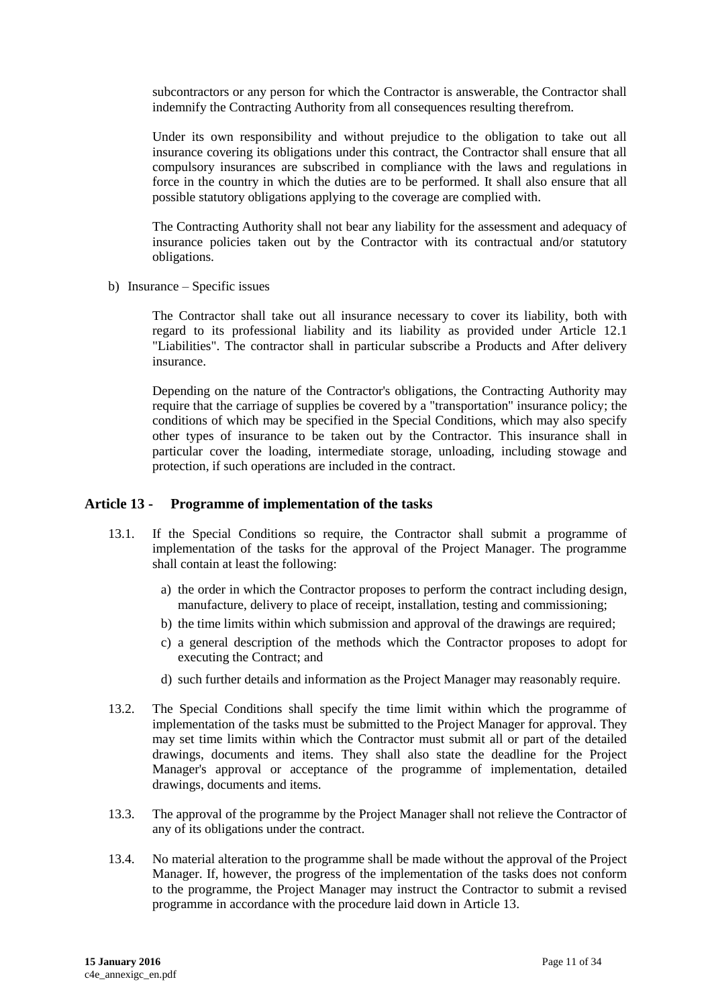subcontractors or any person for which the Contractor is answerable, the Contractor shall indemnify the Contracting Authority from all consequences resulting therefrom.

Under its own responsibility and without prejudice to the obligation to take out all insurance covering its obligations under this contract, the Contractor shall ensure that all compulsory insurances are subscribed in compliance with the laws and regulations in force in the country in which the duties are to be performed. It shall also ensure that all possible statutory obligations applying to the coverage are complied with.

The Contracting Authority shall not bear any liability for the assessment and adequacy of insurance policies taken out by the Contractor with its contractual and/or statutory obligations.

b) Insurance – Specific issues

The Contractor shall take out all insurance necessary to cover its liability, both with regard to its professional liability and its liability as provided under Article 12.1 "Liabilities". The contractor shall in particular subscribe a Products and After delivery insurance.

Depending on the nature of the Contractor's obligations, the Contracting Authority may require that the carriage of supplies be covered by a "transportation" insurance policy; the conditions of which may be specified in the Special Conditions, which may also specify other types of insurance to be taken out by the Contractor. This insurance shall in particular cover the loading, intermediate storage, unloading, including stowage and protection, if such operations are included in the contract.

#### <span id="page-10-0"></span>**Article 13 - Programme of implementation of the tasks**

- 13.1. If the Special Conditions so require, the Contractor shall submit a programme of implementation of the tasks for the approval of the Project Manager. The programme shall contain at least the following:
	- a) the order in which the Contractor proposes to perform the contract including design, manufacture, delivery to place of receipt, installation, testing and commissioning;
	- b) the time limits within which submission and approval of the drawings are required;
	- c) a general description of the methods which the Contractor proposes to adopt for executing the Contract; and
	- d) such further details and information as the Project Manager may reasonably require.
- 13.2. The Special Conditions shall specify the time limit within which the programme of implementation of the tasks must be submitted to the Project Manager for approval. They may set time limits within which the Contractor must submit all or part of the detailed drawings, documents and items. They shall also state the deadline for the Project Manager's approval or acceptance of the programme of implementation, detailed drawings, documents and items.
- 13.3. The approval of the programme by the Project Manager shall not relieve the Contractor of any of its obligations under the contract.
- 13.4. No material alteration to the programme shall be made without the approval of the Project Manager. If, however, the progress of the implementation of the tasks does not conform to the programme, the Project Manager may instruct the Contractor to submit a revised programme in accordance with the procedure laid down in Article 13.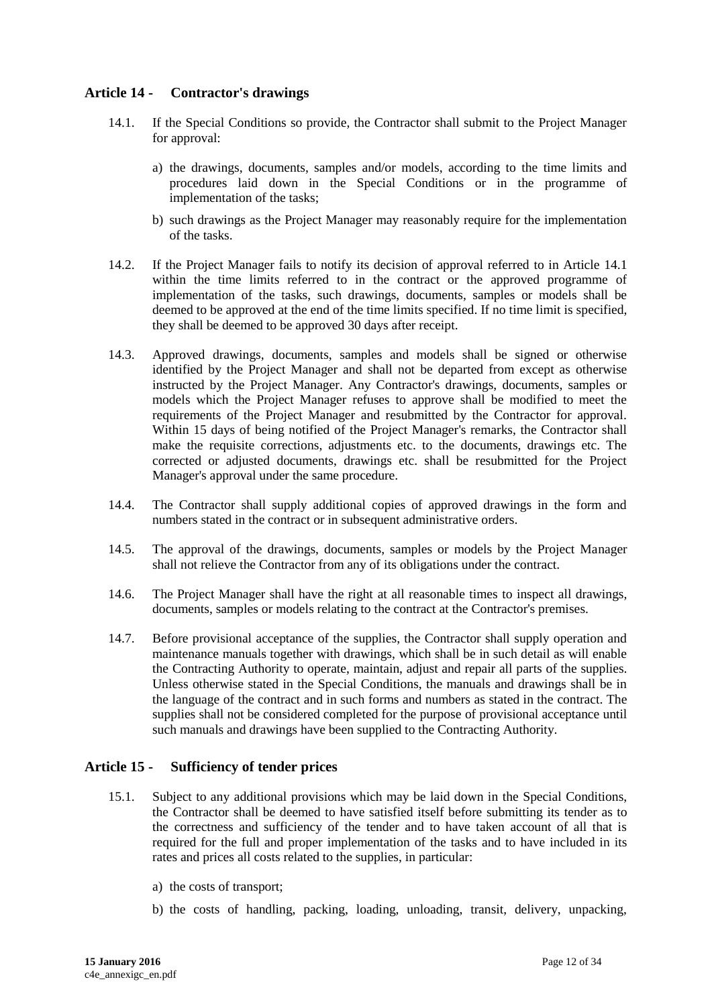### <span id="page-11-0"></span>**Article 14 - Contractor's drawings**

- 14.1. If the Special Conditions so provide, the Contractor shall submit to the Project Manager for approval:
	- a) the drawings, documents, samples and/or models, according to the time limits and procedures laid down in the Special Conditions or in the programme of implementation of the tasks;
	- b) such drawings as the Project Manager may reasonably require for the implementation of the tasks.
- 14.2. If the Project Manager fails to notify its decision of approval referred to in Article 14.1 within the time limits referred to in the contract or the approved programme of implementation of the tasks, such drawings, documents, samples or models shall be deemed to be approved at the end of the time limits specified. If no time limit is specified, they shall be deemed to be approved 30 days after receipt.
- 14.3. Approved drawings, documents, samples and models shall be signed or otherwise identified by the Project Manager and shall not be departed from except as otherwise instructed by the Project Manager. Any Contractor's drawings, documents, samples or models which the Project Manager refuses to approve shall be modified to meet the requirements of the Project Manager and resubmitted by the Contractor for approval. Within 15 days of being notified of the Project Manager's remarks, the Contractor shall make the requisite corrections, adjustments etc. to the documents, drawings etc. The corrected or adjusted documents, drawings etc. shall be resubmitted for the Project Manager's approval under the same procedure.
- 14.4. The Contractor shall supply additional copies of approved drawings in the form and numbers stated in the contract or in subsequent administrative orders.
- 14.5. The approval of the drawings, documents, samples or models by the Project Manager shall not relieve the Contractor from any of its obligations under the contract.
- 14.6. The Project Manager shall have the right at all reasonable times to inspect all drawings, documents, samples or models relating to the contract at the Contractor's premises.
- 14.7. Before provisional acceptance of the supplies, the Contractor shall supply operation and maintenance manuals together with drawings, which shall be in such detail as will enable the Contracting Authority to operate, maintain, adjust and repair all parts of the supplies. Unless otherwise stated in the Special Conditions, the manuals and drawings shall be in the language of the contract and in such forms and numbers as stated in the contract. The supplies shall not be considered completed for the purpose of provisional acceptance until such manuals and drawings have been supplied to the Contracting Authority.

#### <span id="page-11-1"></span>**Article 15 - Sufficiency of tender prices**

- 15.1. Subject to any additional provisions which may be laid down in the Special Conditions, the Contractor shall be deemed to have satisfied itself before submitting its tender as to the correctness and sufficiency of the tender and to have taken account of all that is required for the full and proper implementation of the tasks and to have included in its rates and prices all costs related to the supplies, in particular:
	- a) the costs of transport;
	- b) the costs of handling, packing, loading, unloading, transit, delivery, unpacking,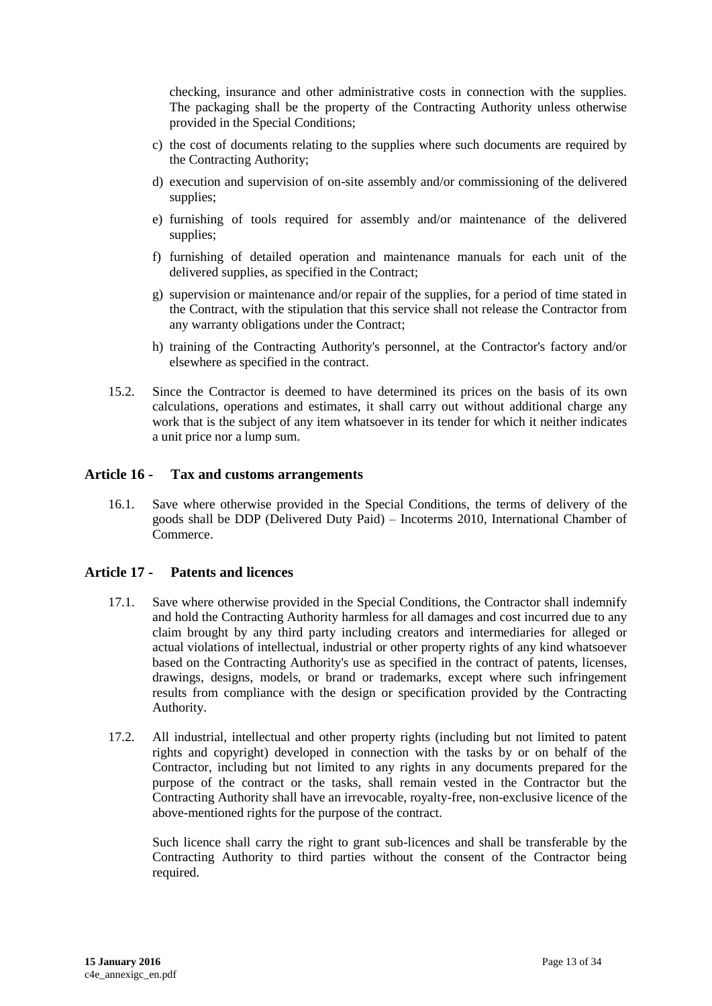checking, insurance and other administrative costs in connection with the supplies. The packaging shall be the property of the Contracting Authority unless otherwise provided in the Special Conditions;

- c) the cost of documents relating to the supplies where such documents are required by the Contracting Authority;
- d) execution and supervision of on-site assembly and/or commissioning of the delivered supplies;
- e) furnishing of tools required for assembly and/or maintenance of the delivered supplies;
- f) furnishing of detailed operation and maintenance manuals for each unit of the delivered supplies, as specified in the Contract;
- g) supervision or maintenance and/or repair of the supplies, for a period of time stated in the Contract, with the stipulation that this service shall not release the Contractor from any warranty obligations under the Contract;
- h) training of the Contracting Authority's personnel, at the Contractor's factory and/or elsewhere as specified in the contract.
- 15.2. Since the Contractor is deemed to have determined its prices on the basis of its own calculations, operations and estimates, it shall carry out without additional charge any work that is the subject of any item whatsoever in its tender for which it neither indicates a unit price nor a lump sum.

#### <span id="page-12-0"></span>**Article 16 - Tax and customs arrangements**

16.1. Save where otherwise provided in the Special Conditions, the terms of delivery of the goods shall be DDP (Delivered Duty Paid) – Incoterms 2010, International Chamber of Commerce.

#### <span id="page-12-1"></span>**Article 17 - Patents and licences**

- 17.1. Save where otherwise provided in the Special Conditions, the Contractor shall indemnify and hold the Contracting Authority harmless for all damages and cost incurred due to any claim brought by any third party including creators and intermediaries for alleged or actual violations of intellectual, industrial or other property rights of any kind whatsoever based on the Contracting Authority's use as specified in the contract of patents, licenses, drawings, designs, models, or brand or trademarks, except where such infringement results from compliance with the design or specification provided by the Contracting Authority.
- 17.2. All industrial, intellectual and other property rights (including but not limited to patent rights and copyright) developed in connection with the tasks by or on behalf of the Contractor, including but not limited to any rights in any documents prepared for the purpose of the contract or the tasks, shall remain vested in the Contractor but the Contracting Authority shall have an irrevocable, royalty-free, non-exclusive licence of the above-mentioned rights for the purpose of the contract.

Such licence shall carry the right to grant sub-licences and shall be transferable by the Contracting Authority to third parties without the consent of the Contractor being required.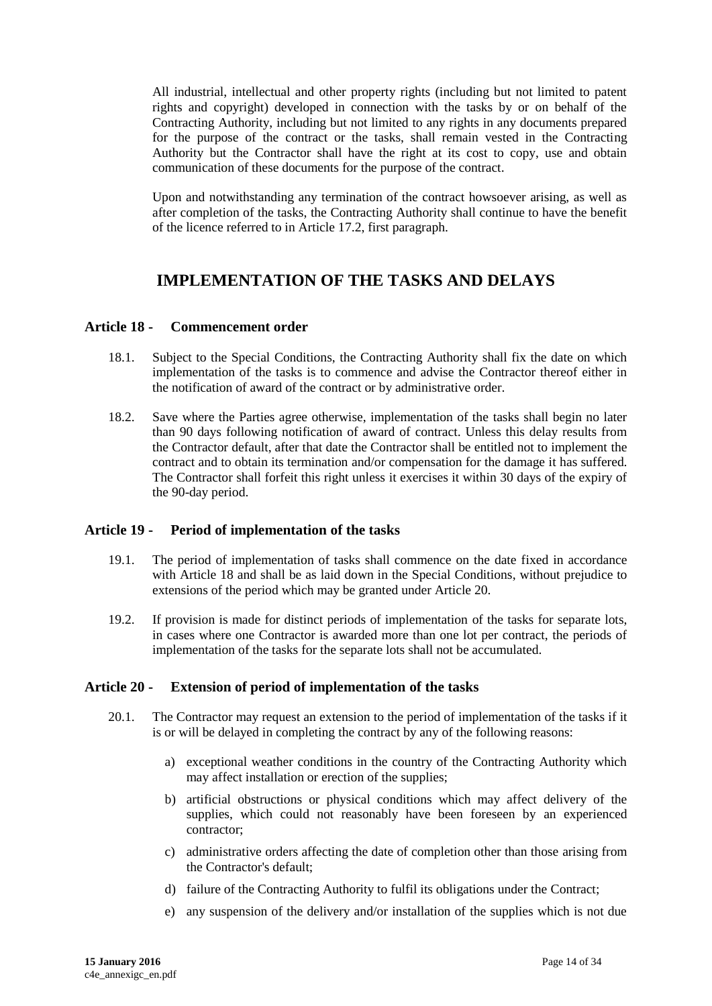All industrial, intellectual and other property rights (including but not limited to patent rights and copyright) developed in connection with the tasks by or on behalf of the Contracting Authority, including but not limited to any rights in any documents prepared for the purpose of the contract or the tasks, shall remain vested in the Contracting Authority but the Contractor shall have the right at its cost to copy, use and obtain communication of these documents for the purpose of the contract.

Upon and notwithstanding any termination of the contract howsoever arising, as well as after completion of the tasks, the Contracting Authority shall continue to have the benefit of the licence referred to in Article 17.2, first paragraph.

# **IMPLEMENTATION OF THE TASKS AND DELAYS**

#### <span id="page-13-1"></span><span id="page-13-0"></span>**Article 18 - Commencement order**

- 18.1. Subject to the Special Conditions, the Contracting Authority shall fix the date on which implementation of the tasks is to commence and advise the Contractor thereof either in the notification of award of the contract or by administrative order.
- 18.2. Save where the Parties agree otherwise, implementation of the tasks shall begin no later than 90 days following notification of award of contract. Unless this delay results from the Contractor default, after that date the Contractor shall be entitled not to implement the contract and to obtain its termination and/or compensation for the damage it has suffered. The Contractor shall forfeit this right unless it exercises it within 30 days of the expiry of the 90-day period.

#### <span id="page-13-2"></span>**Article 19 - Period of implementation of the tasks**

- 19.1. The period of implementation of tasks shall commence on the date fixed in accordance with Article 18 and shall be as laid down in the Special Conditions, without prejudice to extensions of the period which may be granted under Article 20.
- 19.2. If provision is made for distinct periods of implementation of the tasks for separate lots, in cases where one Contractor is awarded more than one lot per contract, the periods of implementation of the tasks for the separate lots shall not be accumulated.

#### <span id="page-13-3"></span>**Article 20 - Extension of period of implementation of the tasks**

- 20.1. The Contractor may request an extension to the period of implementation of the tasks if it is or will be delayed in completing the contract by any of the following reasons:
	- a) exceptional weather conditions in the country of the Contracting Authority which may affect installation or erection of the supplies;
	- b) artificial obstructions or physical conditions which may affect delivery of the supplies, which could not reasonably have been foreseen by an experienced contractor;
	- c) administrative orders affecting the date of completion other than those arising from the Contractor's default;
	- d) failure of the Contracting Authority to fulfil its obligations under the Contract;
	- e) any suspension of the delivery and/or installation of the supplies which is not due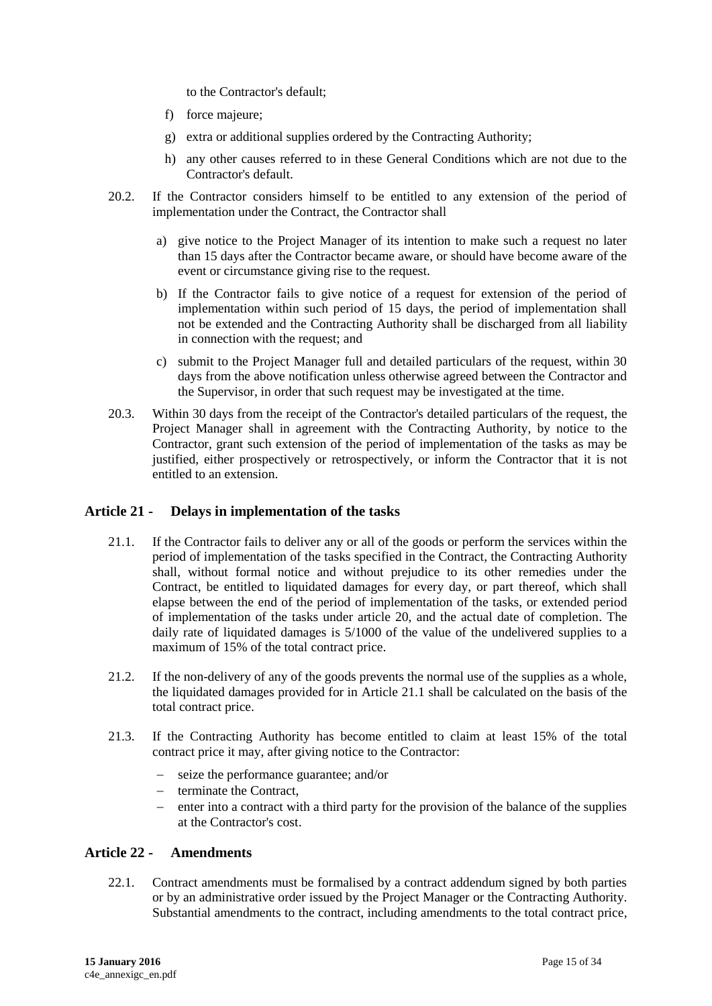to the Contractor's default;

- f) force majeure;
- g) extra or additional supplies ordered by the Contracting Authority;
- h) any other causes referred to in these General Conditions which are not due to the Contractor's default.
- 20.2. If the Contractor considers himself to be entitled to any extension of the period of implementation under the Contract, the Contractor shall
	- a) give notice to the Project Manager of its intention to make such a request no later than 15 days after the Contractor became aware, or should have become aware of the event or circumstance giving rise to the request.
	- b) If the Contractor fails to give notice of a request for extension of the period of implementation within such period of 15 days, the period of implementation shall not be extended and the Contracting Authority shall be discharged from all liability in connection with the request; and
	- c) submit to the Project Manager full and detailed particulars of the request, within 30 days from the above notification unless otherwise agreed between the Contractor and the Supervisor, in order that such request may be investigated at the time.
- 20.3. Within 30 days from the receipt of the Contractor's detailed particulars of the request, the Project Manager shall in agreement with the Contracting Authority, by notice to the Contractor, grant such extension of the period of implementation of the tasks as may be justified, either prospectively or retrospectively, or inform the Contractor that it is not entitled to an extension.

#### <span id="page-14-0"></span>**Article 21 - Delays in implementation of the tasks**

- 21.1. If the Contractor fails to deliver any or all of the goods or perform the services within the period of implementation of the tasks specified in the Contract, the Contracting Authority shall, without formal notice and without prejudice to its other remedies under the Contract, be entitled to liquidated damages for every day, or part thereof, which shall elapse between the end of the period of implementation of the tasks, or extended period of implementation of the tasks under article 20, and the actual date of completion. The daily rate of liquidated damages is 5/1000 of the value of the undelivered supplies to a maximum of 15% of the total contract price.
- 21.2. If the non-delivery of any of the goods prevents the normal use of the supplies as a whole, the liquidated damages provided for in Article 21.1 shall be calculated on the basis of the total contract price.
- 21.3. If the Contracting Authority has become entitled to claim at least 15% of the total contract price it may, after giving notice to the Contractor:
	- seize the performance guarantee; and/or
	- $-$  terminate the Contract,
	- enter into a contract with a third party for the provision of the balance of the supplies at the Contractor's cost.

#### <span id="page-14-1"></span>**Article 22 - Amendments**

22.1. Contract amendments must be formalised by a contract addendum signed by both parties or by an administrative order issued by the Project Manager or the Contracting Authority. Substantial amendments to the contract, including amendments to the total contract price,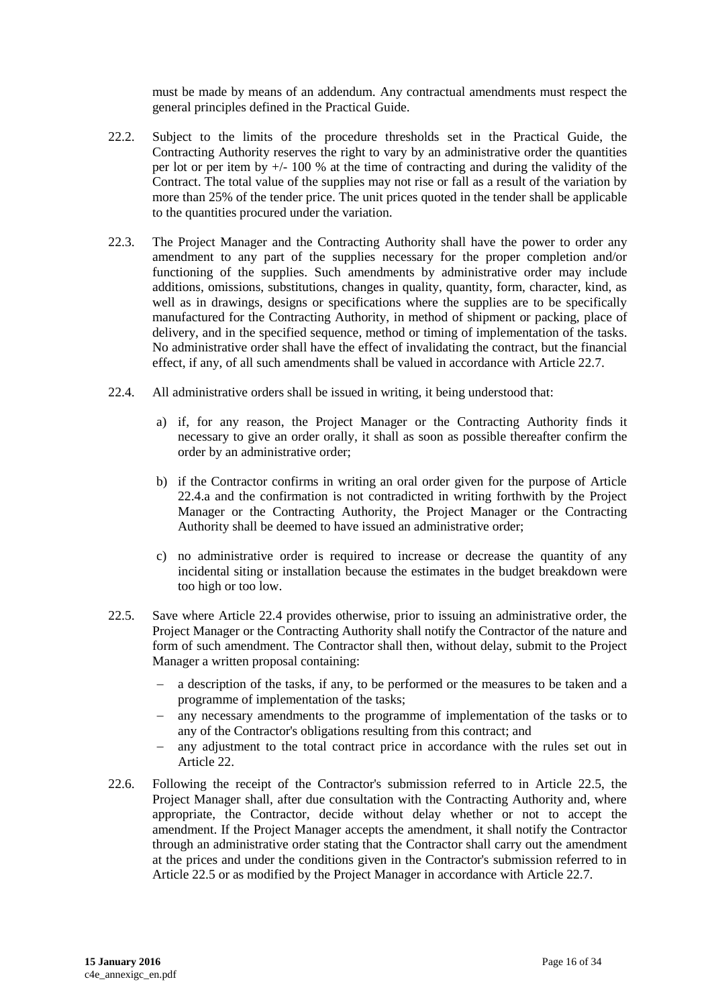must be made by means of an addendum. Any contractual amendments must respect the general principles defined in the Practical Guide.

- 22.2. Subject to the limits of the procedure thresholds set in the Practical Guide, the Contracting Authority reserves the right to vary by an administrative order the quantities per lot or per item by +/- 100 % at the time of contracting and during the validity of the Contract. The total value of the supplies may not rise or fall as a result of the variation by more than 25% of the tender price. The unit prices quoted in the tender shall be applicable to the quantities procured under the variation.
- 22.3. The Project Manager and the Contracting Authority shall have the power to order any amendment to any part of the supplies necessary for the proper completion and/or functioning of the supplies. Such amendments by administrative order may include additions, omissions, substitutions, changes in quality, quantity, form, character, kind, as well as in drawings, designs or specifications where the supplies are to be specifically manufactured for the Contracting Authority, in method of shipment or packing, place of delivery, and in the specified sequence, method or timing of implementation of the tasks. No administrative order shall have the effect of invalidating the contract, but the financial effect, if any, of all such amendments shall be valued in accordance with Article 22.7.
- 22.4. All administrative orders shall be issued in writing, it being understood that:
	- a) if, for any reason, the Project Manager or the Contracting Authority finds it necessary to give an order orally, it shall as soon as possible thereafter confirm the order by an administrative order;
	- b) if the Contractor confirms in writing an oral order given for the purpose of Article 22.4.a and the confirmation is not contradicted in writing forthwith by the Project Manager or the Contracting Authority, the Project Manager or the Contracting Authority shall be deemed to have issued an administrative order;
	- c) no administrative order is required to increase or decrease the quantity of any incidental siting or installation because the estimates in the budget breakdown were too high or too low.
- 22.5. Save where Article 22.4 provides otherwise, prior to issuing an administrative order, the Project Manager or the Contracting Authority shall notify the Contractor of the nature and form of such amendment. The Contractor shall then, without delay, submit to the Project Manager a written proposal containing:
	- a description of the tasks, if any, to be performed or the measures to be taken and a programme of implementation of the tasks;
	- any necessary amendments to the programme of implementation of the tasks or to any of the Contractor's obligations resulting from this contract; and
	- any adjustment to the total contract price in accordance with the rules set out in Article 22.
- 22.6. Following the receipt of the Contractor's submission referred to in Article 22.5, the Project Manager shall, after due consultation with the Contracting Authority and, where appropriate, the Contractor, decide without delay whether or not to accept the amendment. If the Project Manager accepts the amendment, it shall notify the Contractor through an administrative order stating that the Contractor shall carry out the amendment at the prices and under the conditions given in the Contractor's submission referred to in Article 22.5 or as modified by the Project Manager in accordance with Article 22.7.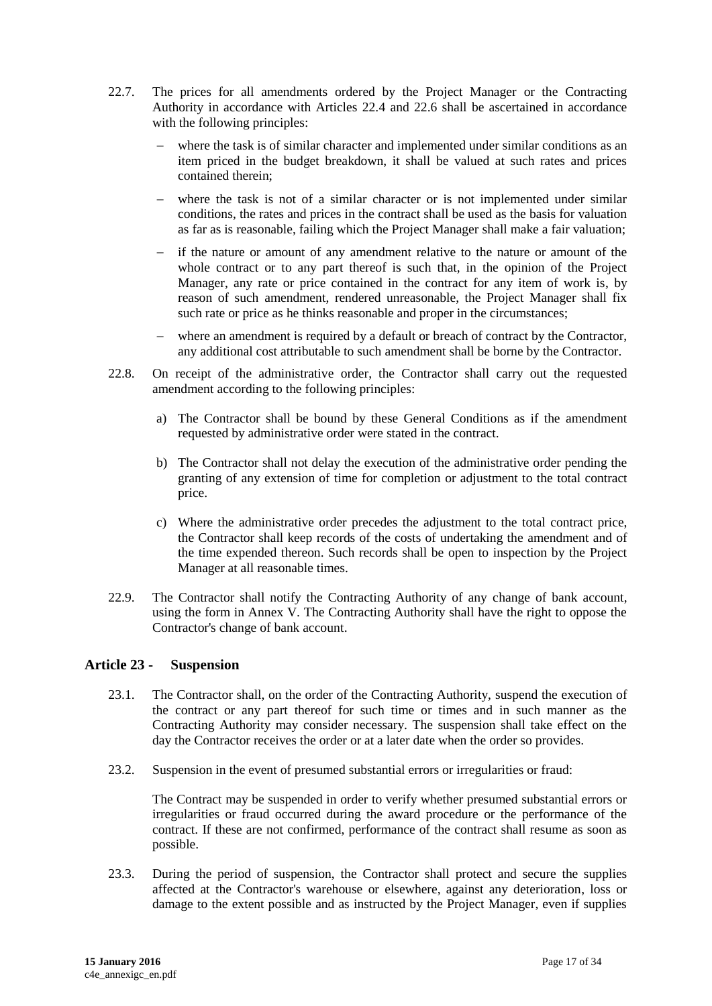- 22.7. The prices for all amendments ordered by the Project Manager or the Contracting Authority in accordance with Articles 22.4 and 22.6 shall be ascertained in accordance with the following principles:
	- where the task is of similar character and implemented under similar conditions as an item priced in the budget breakdown, it shall be valued at such rates and prices contained therein;
	- where the task is not of a similar character or is not implemented under similar conditions, the rates and prices in the contract shall be used as the basis for valuation as far as is reasonable, failing which the Project Manager shall make a fair valuation;
	- if the nature or amount of any amendment relative to the nature or amount of the whole contract or to any part thereof is such that, in the opinion of the Project Manager, any rate or price contained in the contract for any item of work is, by reason of such amendment, rendered unreasonable, the Project Manager shall fix such rate or price as he thinks reasonable and proper in the circumstances;
	- where an amendment is required by a default or breach of contract by the Contractor, any additional cost attributable to such amendment shall be borne by the Contractor.
- 22.8. On receipt of the administrative order, the Contractor shall carry out the requested amendment according to the following principles:
	- a) The Contractor shall be bound by these General Conditions as if the amendment requested by administrative order were stated in the contract.
	- b) The Contractor shall not delay the execution of the administrative order pending the granting of any extension of time for completion or adjustment to the total contract price.
	- c) Where the administrative order precedes the adjustment to the total contract price, the Contractor shall keep records of the costs of undertaking the amendment and of the time expended thereon. Such records shall be open to inspection by the Project Manager at all reasonable times.
- 22.9. The Contractor shall notify the Contracting Authority of any change of bank account, using the form in Annex V. The Contracting Authority shall have the right to oppose the Contractor's change of bank account.

#### <span id="page-16-0"></span>**Article 23 - Suspension**

- 23.1. The Contractor shall, on the order of the Contracting Authority, suspend the execution of the contract or any part thereof for such time or times and in such manner as the Contracting Authority may consider necessary. The suspension shall take effect on the day the Contractor receives the order or at a later date when the order so provides.
- 23.2. Suspension in the event of presumed substantial errors or irregularities or fraud:

The Contract may be suspended in order to verify whether presumed substantial errors or irregularities or fraud occurred during the award procedure or the performance of the contract. If these are not confirmed, performance of the contract shall resume as soon as possible.

23.3. During the period of suspension, the Contractor shall protect and secure the supplies affected at the Contractor's warehouse or elsewhere, against any deterioration, loss or damage to the extent possible and as instructed by the Project Manager, even if supplies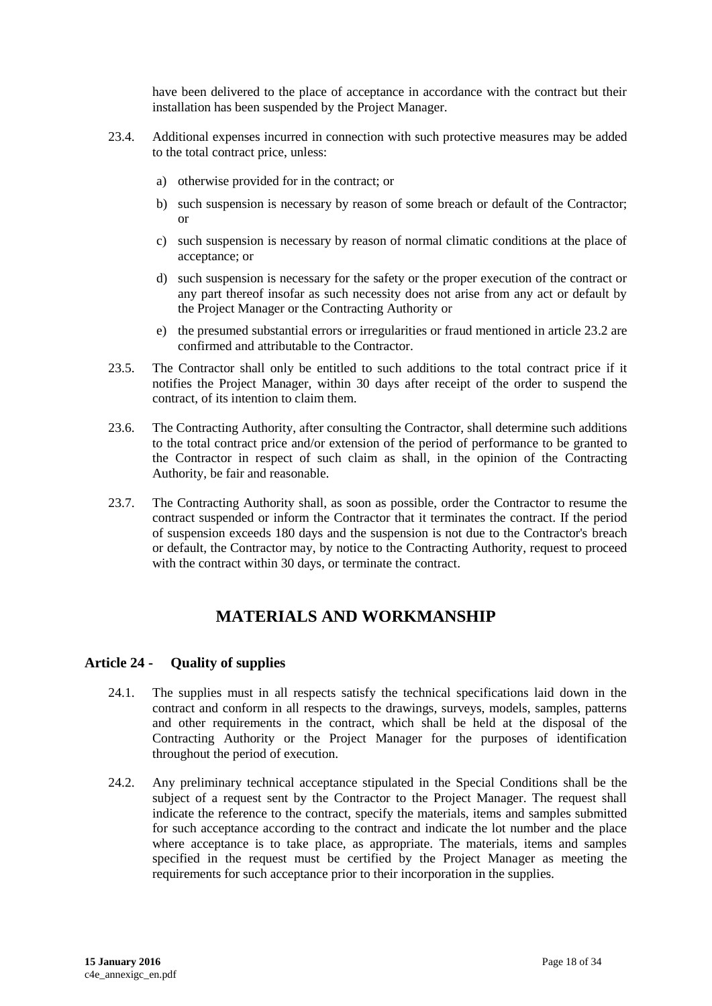have been delivered to the place of acceptance in accordance with the contract but their installation has been suspended by the Project Manager.

- 23.4. Additional expenses incurred in connection with such protective measures may be added to the total contract price, unless:
	- a) otherwise provided for in the contract; or
	- b) such suspension is necessary by reason of some breach or default of the Contractor; or
	- c) such suspension is necessary by reason of normal climatic conditions at the place of acceptance; or
	- d) such suspension is necessary for the safety or the proper execution of the contract or any part thereof insofar as such necessity does not arise from any act or default by the Project Manager or the Contracting Authority or
	- e) the presumed substantial errors or irregularities or fraud mentioned in article 23.2 are confirmed and attributable to the Contractor.
- 23.5. The Contractor shall only be entitled to such additions to the total contract price if it notifies the Project Manager, within 30 days after receipt of the order to suspend the contract, of its intention to claim them.
- 23.6. The Contracting Authority, after consulting the Contractor, shall determine such additions to the total contract price and/or extension of the period of performance to be granted to the Contractor in respect of such claim as shall, in the opinion of the Contracting Authority, be fair and reasonable.
- 23.7. The Contracting Authority shall, as soon as possible, order the Contractor to resume the contract suspended or inform the Contractor that it terminates the contract. If the period of suspension exceeds 180 days and the suspension is not due to the Contractor's breach or default, the Contractor may, by notice to the Contracting Authority, request to proceed with the contract within 30 days, or terminate the contract.

# **MATERIALS AND WORKMANSHIP**

#### <span id="page-17-1"></span><span id="page-17-0"></span>**Article 24 - Quality of supplies**

- 24.1. The supplies must in all respects satisfy the technical specifications laid down in the contract and conform in all respects to the drawings, surveys, models, samples, patterns and other requirements in the contract, which shall be held at the disposal of the Contracting Authority or the Project Manager for the purposes of identification throughout the period of execution.
- 24.2. Any preliminary technical acceptance stipulated in the Special Conditions shall be the subject of a request sent by the Contractor to the Project Manager. The request shall indicate the reference to the contract, specify the materials, items and samples submitted for such acceptance according to the contract and indicate the lot number and the place where acceptance is to take place, as appropriate. The materials, items and samples specified in the request must be certified by the Project Manager as meeting the requirements for such acceptance prior to their incorporation in the supplies.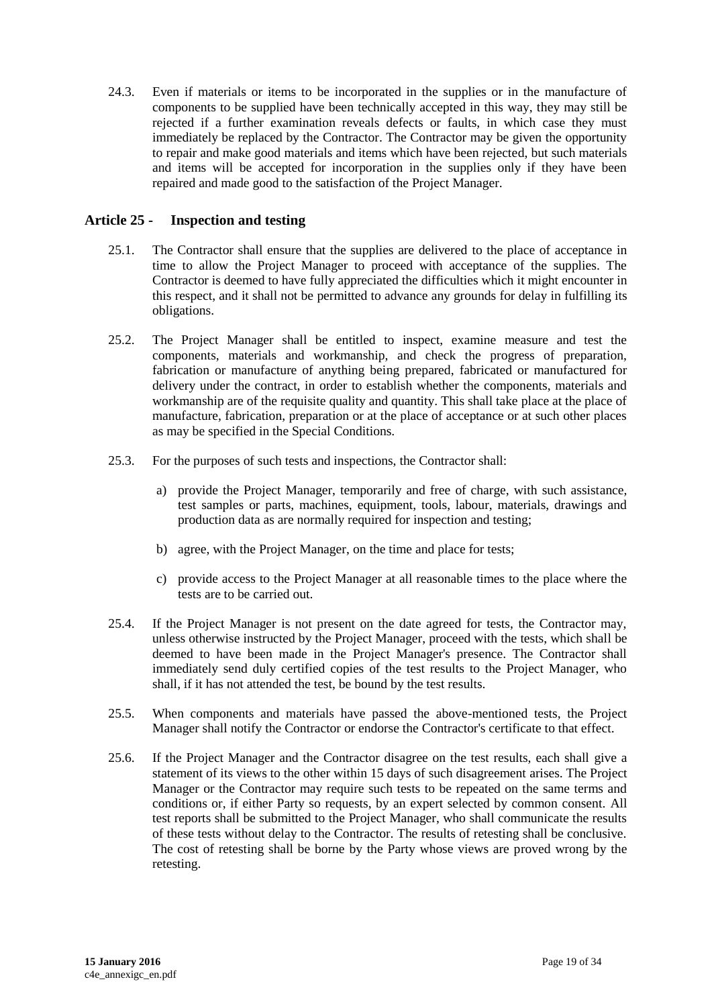24.3. Even if materials or items to be incorporated in the supplies or in the manufacture of components to be supplied have been technically accepted in this way, they may still be rejected if a further examination reveals defects or faults, in which case they must immediately be replaced by the Contractor. The Contractor may be given the opportunity to repair and make good materials and items which have been rejected, but such materials and items will be accepted for incorporation in the supplies only if they have been repaired and made good to the satisfaction of the Project Manager.

### <span id="page-18-0"></span>**Article 25 - Inspection and testing**

- 25.1. The Contractor shall ensure that the supplies are delivered to the place of acceptance in time to allow the Project Manager to proceed with acceptance of the supplies. The Contractor is deemed to have fully appreciated the difficulties which it might encounter in this respect, and it shall not be permitted to advance any grounds for delay in fulfilling its obligations.
- 25.2. The Project Manager shall be entitled to inspect, examine measure and test the components, materials and workmanship, and check the progress of preparation, fabrication or manufacture of anything being prepared, fabricated or manufactured for delivery under the contract, in order to establish whether the components, materials and workmanship are of the requisite quality and quantity. This shall take place at the place of manufacture, fabrication, preparation or at the place of acceptance or at such other places as may be specified in the Special Conditions.
- 25.3. For the purposes of such tests and inspections, the Contractor shall:
	- a) provide the Project Manager, temporarily and free of charge, with such assistance, test samples or parts, machines, equipment, tools, labour, materials, drawings and production data as are normally required for inspection and testing;
	- b) agree, with the Project Manager, on the time and place for tests;
	- c) provide access to the Project Manager at all reasonable times to the place where the tests are to be carried out.
- 25.4. If the Project Manager is not present on the date agreed for tests, the Contractor may, unless otherwise instructed by the Project Manager, proceed with the tests, which shall be deemed to have been made in the Project Manager's presence. The Contractor shall immediately send duly certified copies of the test results to the Project Manager, who shall, if it has not attended the test, be bound by the test results.
- 25.5. When components and materials have passed the above-mentioned tests, the Project Manager shall notify the Contractor or endorse the Contractor's certificate to that effect.
- 25.6. If the Project Manager and the Contractor disagree on the test results, each shall give a statement of its views to the other within 15 days of such disagreement arises. The Project Manager or the Contractor may require such tests to be repeated on the same terms and conditions or, if either Party so requests, by an expert selected by common consent. All test reports shall be submitted to the Project Manager, who shall communicate the results of these tests without delay to the Contractor. The results of retesting shall be conclusive. The cost of retesting shall be borne by the Party whose views are proved wrong by the retesting.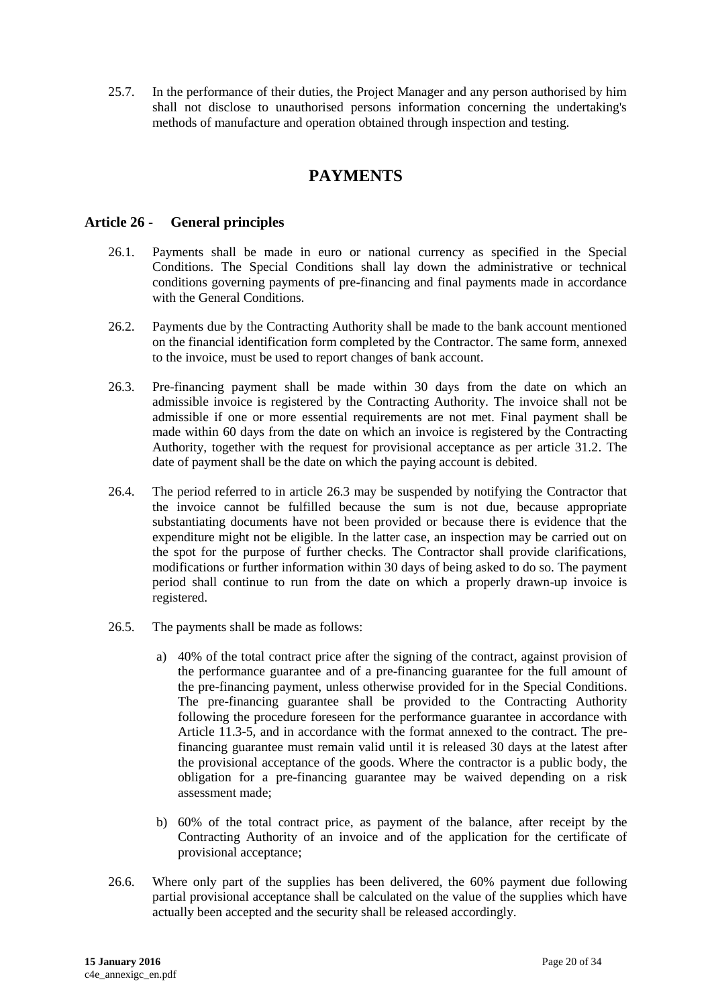<span id="page-19-0"></span>25.7. In the performance of their duties, the Project Manager and any person authorised by him shall not disclose to unauthorised persons information concerning the undertaking's methods of manufacture and operation obtained through inspection and testing.

## **PAYMENTS**

#### <span id="page-19-1"></span>**Article 26 - General principles**

- 26.1. Payments shall be made in euro or national currency as specified in the Special Conditions. The Special Conditions shall lay down the administrative or technical conditions governing payments of pre-financing and final payments made in accordance with the General Conditions.
- 26.2. Payments due by the Contracting Authority shall be made to the bank account mentioned on the financial identification form completed by the Contractor. The same form, annexed to the invoice, must be used to report changes of bank account.
- 26.3. Pre-financing payment shall be made within 30 days from the date on which an admissible invoice is registered by the Contracting Authority. The invoice shall not be admissible if one or more essential requirements are not met. Final payment shall be made within 60 days from the date on which an invoice is registered by the Contracting Authority, together with the request for provisional acceptance as per article 31.2. The date of payment shall be the date on which the paying account is debited.
- 26.4. The period referred to in article 26.3 may be suspended by notifying the Contractor that the invoice cannot be fulfilled because the sum is not due, because appropriate substantiating documents have not been provided or because there is evidence that the expenditure might not be eligible. In the latter case, an inspection may be carried out on the spot for the purpose of further checks. The Contractor shall provide clarifications, modifications or further information within 30 days of being asked to do so. The payment period shall continue to run from the date on which a properly drawn-up invoice is registered.
- 26.5. The payments shall be made as follows:
	- a) 40% of the total contract price after the signing of the contract, against provision of the performance guarantee and of a pre-financing guarantee for the full amount of the pre-financing payment, unless otherwise provided for in the Special Conditions. The pre-financing guarantee shall be provided to the Contracting Authority following the procedure foreseen for the performance guarantee in accordance with Article 11.3-5, and in accordance with the format annexed to the contract. The prefinancing guarantee must remain valid until it is released 30 days at the latest after the provisional acceptance of the goods. Where the contractor is a public body, the obligation for a pre-financing guarantee may be waived depending on a risk assessment made;
	- b) 60% of the total contract price, as payment of the balance, after receipt by the Contracting Authority of an invoice and of the application for the certificate of provisional acceptance;
- 26.6. Where only part of the supplies has been delivered, the 60% payment due following partial provisional acceptance shall be calculated on the value of the supplies which have actually been accepted and the security shall be released accordingly.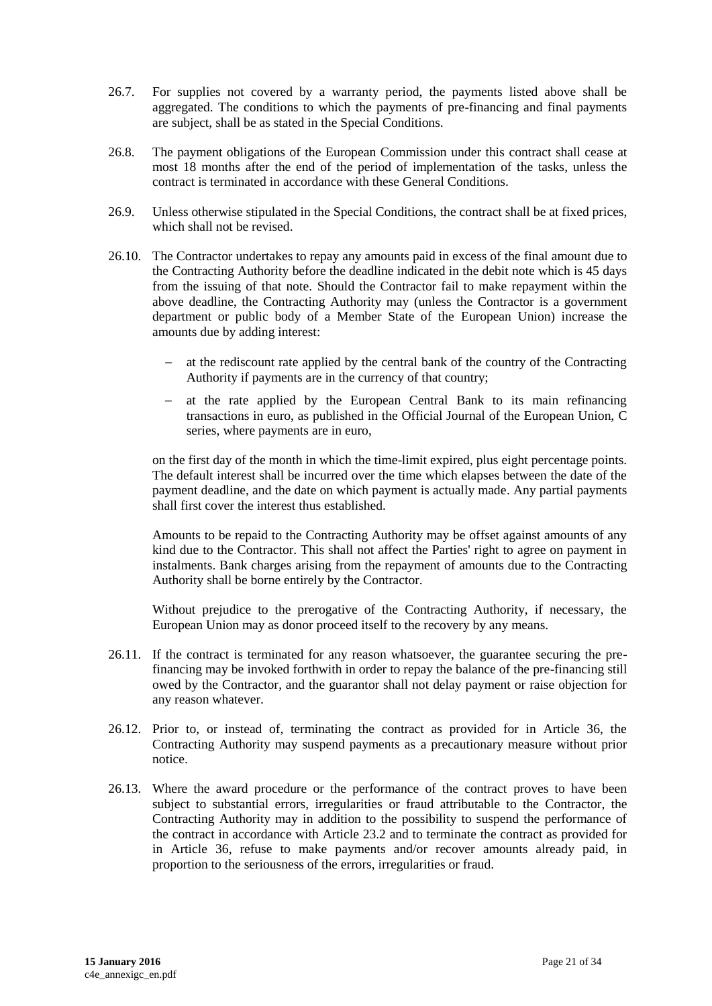- 26.7. For supplies not covered by a warranty period, the payments listed above shall be aggregated. The conditions to which the payments of pre-financing and final payments are subject, shall be as stated in the Special Conditions.
- 26.8. The payment obligations of the European Commission under this contract shall cease at most 18 months after the end of the period of implementation of the tasks, unless the contract is terminated in accordance with these General Conditions.
- 26.9. Unless otherwise stipulated in the Special Conditions, the contract shall be at fixed prices, which shall not be revised.
- 26.10. The Contractor undertakes to repay any amounts paid in excess of the final amount due to the Contracting Authority before the deadline indicated in the debit note which is 45 days from the issuing of that note. Should the Contractor fail to make repayment within the above deadline, the Contracting Authority may (unless the Contractor is a government department or public body of a Member State of the European Union) increase the amounts due by adding interest:
	- at the rediscount rate applied by the central bank of the country of the Contracting Authority if payments are in the currency of that country;
	- $-$  at the rate applied by the European Central Bank to its main refinancing transactions in euro, as published in the Official Journal of the European Union, C series, where payments are in euro,

on the first day of the month in which the time-limit expired, plus eight percentage points. The default interest shall be incurred over the time which elapses between the date of the payment deadline, and the date on which payment is actually made. Any partial payments shall first cover the interest thus established.

Amounts to be repaid to the Contracting Authority may be offset against amounts of any kind due to the Contractor. This shall not affect the Parties' right to agree on payment in instalments. Bank charges arising from the repayment of amounts due to the Contracting Authority shall be borne entirely by the Contractor.

Without prejudice to the prerogative of the Contracting Authority, if necessary, the European Union may as donor proceed itself to the recovery by any means.

- 26.11. If the contract is terminated for any reason whatsoever, the guarantee securing the prefinancing may be invoked forthwith in order to repay the balance of the pre-financing still owed by the Contractor, and the guarantor shall not delay payment or raise objection for any reason whatever.
- 26.12. Prior to, or instead of, terminating the contract as provided for in Article 36, the Contracting Authority may suspend payments as a precautionary measure without prior notice.
- 26.13. Where the award procedure or the performance of the contract proves to have been subject to substantial errors, irregularities or fraud attributable to the Contractor, the Contracting Authority may in addition to the possibility to suspend the performance of the contract in accordance with Article 23.2 and to terminate the contract as provided for in Article 36, refuse to make payments and/or recover amounts already paid, in proportion to the seriousness of the errors, irregularities or fraud.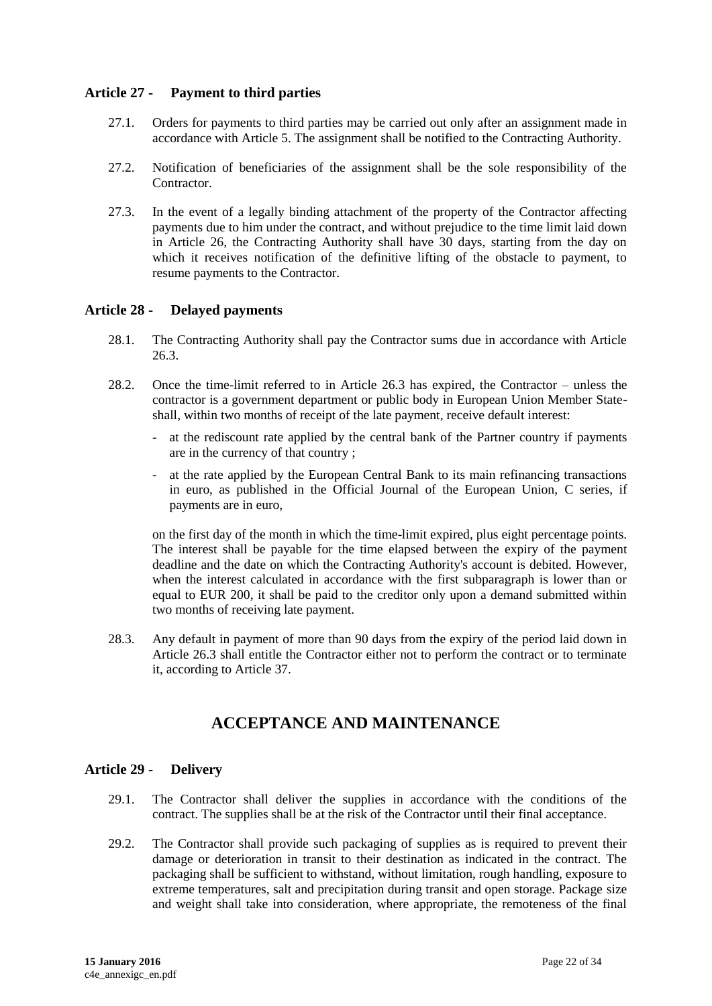### <span id="page-21-0"></span>**Article 27 - Payment to third parties**

- 27.1. Orders for payments to third parties may be carried out only after an assignment made in accordance with Article 5. The assignment shall be notified to the Contracting Authority.
- 27.2. Notification of beneficiaries of the assignment shall be the sole responsibility of the **Contractor**
- 27.3. In the event of a legally binding attachment of the property of the Contractor affecting payments due to him under the contract, and without prejudice to the time limit laid down in Article 26, the Contracting Authority shall have 30 days, starting from the day on which it receives notification of the definitive lifting of the obstacle to payment, to resume payments to the Contractor.

#### <span id="page-21-1"></span>**Article 28 - Delayed payments**

- 28.1. The Contracting Authority shall pay the Contractor sums due in accordance with Article 26.3.
- 28.2. Once the time-limit referred to in Article 26.3 has expired, the Contractor unless the contractor is a government department or public body in European Union Member Stateshall, within two months of receipt of the late payment, receive default interest:
	- at the rediscount rate applied by the central bank of the Partner country if payments are in the currency of that country ;
	- at the rate applied by the European Central Bank to its main refinancing transactions in euro, as published in the Official Journal of the European Union, C series, if payments are in euro,

on the first day of the month in which the time-limit expired, plus eight percentage points. The interest shall be payable for the time elapsed between the expiry of the payment deadline and the date on which the Contracting Authority's account is debited. However, when the interest calculated in accordance with the first subparagraph is lower than or equal to EUR 200, it shall be paid to the creditor only upon a demand submitted within two months of receiving late payment.

<span id="page-21-2"></span>28.3. Any default in payment of more than 90 days from the expiry of the period laid down in Article 26.3 shall entitle the Contractor either not to perform the contract or to terminate it, according to Article 37.

## **ACCEPTANCE AND MAINTENANCE**

#### <span id="page-21-3"></span>**Article 29 - Delivery**

- 29.1. The Contractor shall deliver the supplies in accordance with the conditions of the contract. The supplies shall be at the risk of the Contractor until their final acceptance.
- 29.2. The Contractor shall provide such packaging of supplies as is required to prevent their damage or deterioration in transit to their destination as indicated in the contract. The packaging shall be sufficient to withstand, without limitation, rough handling, exposure to extreme temperatures, salt and precipitation during transit and open storage. Package size and weight shall take into consideration, where appropriate, the remoteness of the final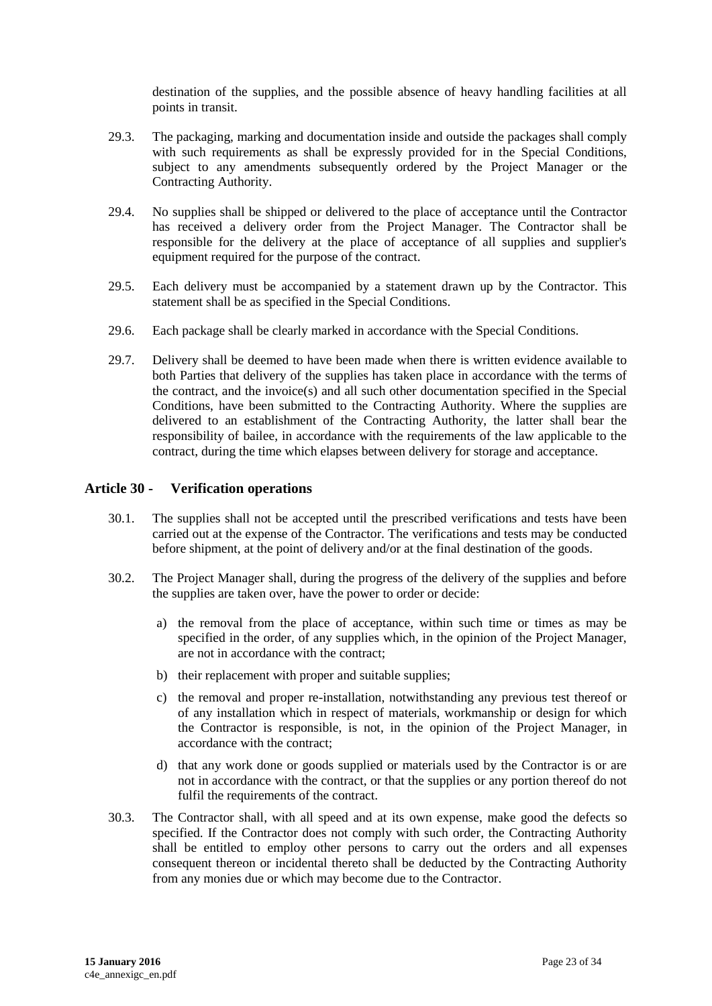destination of the supplies, and the possible absence of heavy handling facilities at all points in transit.

- 29.3. The packaging, marking and documentation inside and outside the packages shall comply with such requirements as shall be expressly provided for in the Special Conditions, subject to any amendments subsequently ordered by the Project Manager or the Contracting Authority.
- 29.4. No supplies shall be shipped or delivered to the place of acceptance until the Contractor has received a delivery order from the Project Manager. The Contractor shall be responsible for the delivery at the place of acceptance of all supplies and supplier's equipment required for the purpose of the contract.
- 29.5. Each delivery must be accompanied by a statement drawn up by the Contractor. This statement shall be as specified in the Special Conditions.
- 29.6. Each package shall be clearly marked in accordance with the Special Conditions.
- 29.7. Delivery shall be deemed to have been made when there is written evidence available to both Parties that delivery of the supplies has taken place in accordance with the terms of the contract, and the invoice(s) and all such other documentation specified in the Special Conditions, have been submitted to the Contracting Authority. Where the supplies are delivered to an establishment of the Contracting Authority, the latter shall bear the responsibility of bailee, in accordance with the requirements of the law applicable to the contract, during the time which elapses between delivery for storage and acceptance.

#### <span id="page-22-0"></span>**Article 30 - Verification operations**

- 30.1. The supplies shall not be accepted until the prescribed verifications and tests have been carried out at the expense of the Contractor. The verifications and tests may be conducted before shipment, at the point of delivery and/or at the final destination of the goods.
- 30.2. The Project Manager shall, during the progress of the delivery of the supplies and before the supplies are taken over, have the power to order or decide:
	- a) the removal from the place of acceptance, within such time or times as may be specified in the order, of any supplies which, in the opinion of the Project Manager, are not in accordance with the contract;
	- b) their replacement with proper and suitable supplies;
	- c) the removal and proper re-installation, notwithstanding any previous test thereof or of any installation which in respect of materials, workmanship or design for which the Contractor is responsible, is not, in the opinion of the Project Manager, in accordance with the contract;
	- d) that any work done or goods supplied or materials used by the Contractor is or are not in accordance with the contract, or that the supplies or any portion thereof do not fulfil the requirements of the contract.
- 30.3. The Contractor shall, with all speed and at its own expense, make good the defects so specified. If the Contractor does not comply with such order, the Contracting Authority shall be entitled to employ other persons to carry out the orders and all expenses consequent thereon or incidental thereto shall be deducted by the Contracting Authority from any monies due or which may become due to the Contractor.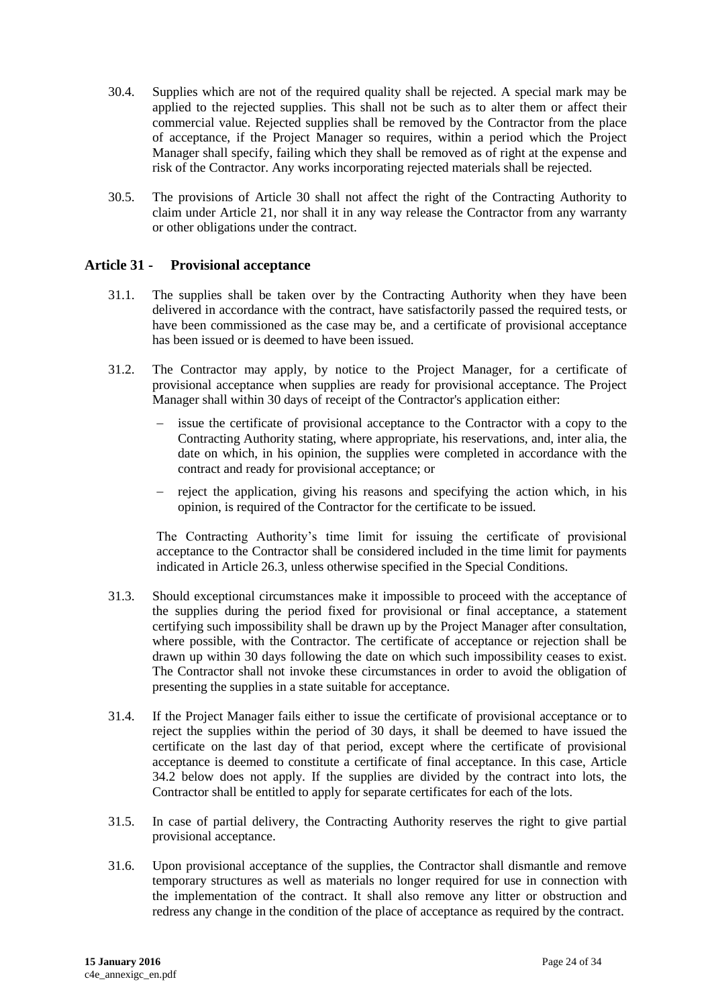- 30.4. Supplies which are not of the required quality shall be rejected. A special mark may be applied to the rejected supplies. This shall not be such as to alter them or affect their commercial value. Rejected supplies shall be removed by the Contractor from the place of acceptance, if the Project Manager so requires, within a period which the Project Manager shall specify, failing which they shall be removed as of right at the expense and risk of the Contractor. Any works incorporating rejected materials shall be rejected.
- 30.5. The provisions of Article 30 shall not affect the right of the Contracting Authority to claim under Article 21, nor shall it in any way release the Contractor from any warranty or other obligations under the contract.

#### <span id="page-23-0"></span>**Article 31 - Provisional acceptance**

- 31.1. The supplies shall be taken over by the Contracting Authority when they have been delivered in accordance with the contract, have satisfactorily passed the required tests, or have been commissioned as the case may be, and a certificate of provisional acceptance has been issued or is deemed to have been issued.
- 31.2. The Contractor may apply, by notice to the Project Manager, for a certificate of provisional acceptance when supplies are ready for provisional acceptance. The Project Manager shall within 30 days of receipt of the Contractor's application either:
	- issue the certificate of provisional acceptance to the Contractor with a copy to the Contracting Authority stating, where appropriate, his reservations, and, inter alia, the date on which, in his opinion, the supplies were completed in accordance with the contract and ready for provisional acceptance; or
	- reject the application, giving his reasons and specifying the action which, in his opinion, is required of the Contractor for the certificate to be issued.

The Contracting Authority's time limit for issuing the certificate of provisional acceptance to the Contractor shall be considered included in the time limit for payments indicated in Article 26.3, unless otherwise specified in the Special Conditions.

- 31.3. Should exceptional circumstances make it impossible to proceed with the acceptance of the supplies during the period fixed for provisional or final acceptance, a statement certifying such impossibility shall be drawn up by the Project Manager after consultation, where possible, with the Contractor. The certificate of acceptance or rejection shall be drawn up within 30 days following the date on which such impossibility ceases to exist. The Contractor shall not invoke these circumstances in order to avoid the obligation of presenting the supplies in a state suitable for acceptance.
- 31.4. If the Project Manager fails either to issue the certificate of provisional acceptance or to reject the supplies within the period of 30 days, it shall be deemed to have issued the certificate on the last day of that period, except where the certificate of provisional acceptance is deemed to constitute a certificate of final acceptance. In this case, Article 34.2 below does not apply. If the supplies are divided by the contract into lots, the Contractor shall be entitled to apply for separate certificates for each of the lots.
- 31.5. In case of partial delivery, the Contracting Authority reserves the right to give partial provisional acceptance.
- 31.6. Upon provisional acceptance of the supplies, the Contractor shall dismantle and remove temporary structures as well as materials no longer required for use in connection with the implementation of the contract. It shall also remove any litter or obstruction and redress any change in the condition of the place of acceptance as required by the contract.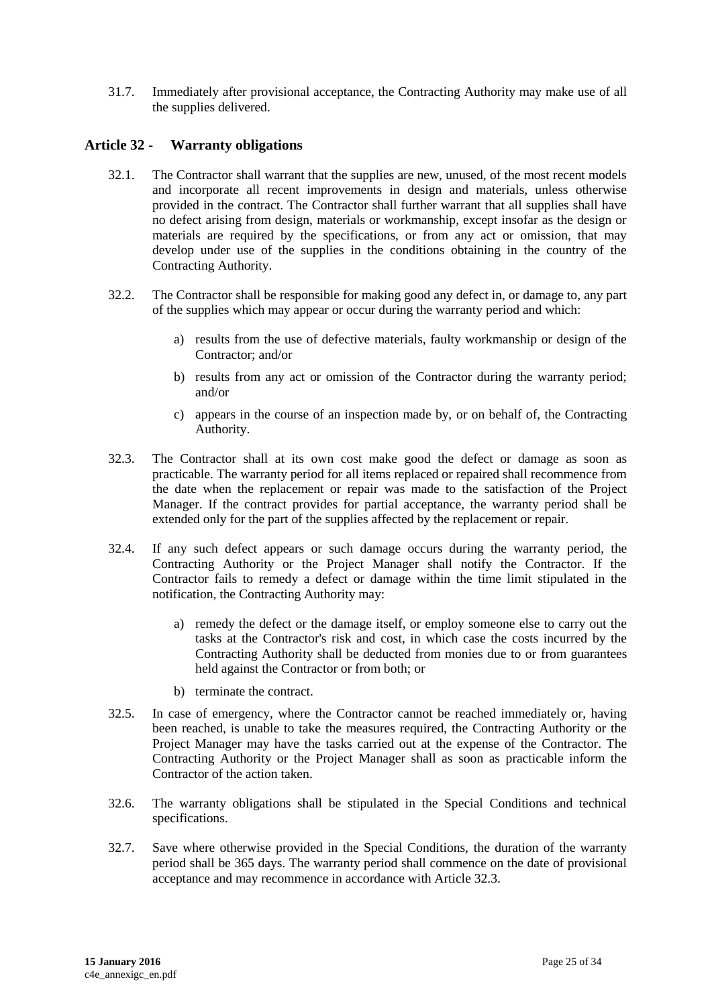31.7. Immediately after provisional acceptance, the Contracting Authority may make use of all the supplies delivered.

#### <span id="page-24-0"></span>**Article 32 - Warranty obligations**

- 32.1. The Contractor shall warrant that the supplies are new, unused, of the most recent models and incorporate all recent improvements in design and materials, unless otherwise provided in the contract. The Contractor shall further warrant that all supplies shall have no defect arising from design, materials or workmanship, except insofar as the design or materials are required by the specifications, or from any act or omission, that may develop under use of the supplies in the conditions obtaining in the country of the Contracting Authority.
- 32.2. The Contractor shall be responsible for making good any defect in, or damage to, any part of the supplies which may appear or occur during the warranty period and which:
	- a) results from the use of defective materials, faulty workmanship or design of the Contractor; and/or
	- b) results from any act or omission of the Contractor during the warranty period; and/or
	- c) appears in the course of an inspection made by, or on behalf of, the Contracting Authority.
- 32.3. The Contractor shall at its own cost make good the defect or damage as soon as practicable. The warranty period for all items replaced or repaired shall recommence from the date when the replacement or repair was made to the satisfaction of the Project Manager. If the contract provides for partial acceptance, the warranty period shall be extended only for the part of the supplies affected by the replacement or repair.
- 32.4. If any such defect appears or such damage occurs during the warranty period, the Contracting Authority or the Project Manager shall notify the Contractor. If the Contractor fails to remedy a defect or damage within the time limit stipulated in the notification, the Contracting Authority may:
	- a) remedy the defect or the damage itself, or employ someone else to carry out the tasks at the Contractor's risk and cost, in which case the costs incurred by the Contracting Authority shall be deducted from monies due to or from guarantees held against the Contractor or from both; or
	- b) terminate the contract.
- 32.5. In case of emergency, where the Contractor cannot be reached immediately or, having been reached, is unable to take the measures required, the Contracting Authority or the Project Manager may have the tasks carried out at the expense of the Contractor. The Contracting Authority or the Project Manager shall as soon as practicable inform the Contractor of the action taken.
- 32.6. The warranty obligations shall be stipulated in the Special Conditions and technical specifications.
- 32.7. Save where otherwise provided in the Special Conditions, the duration of the warranty period shall be 365 days. The warranty period shall commence on the date of provisional acceptance and may recommence in accordance with Article 32.3.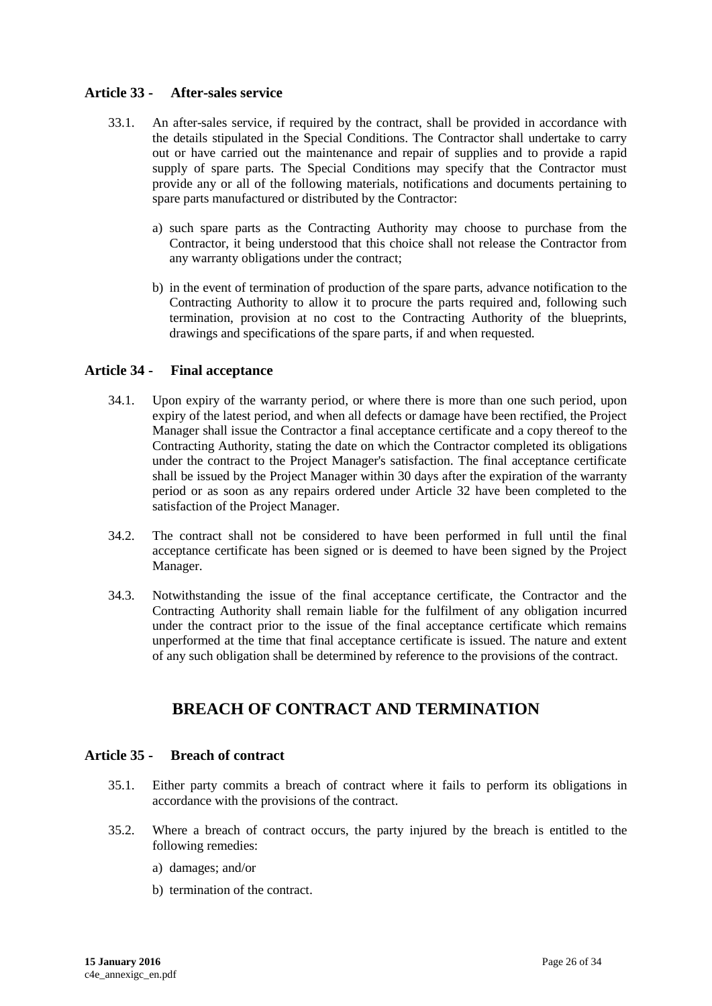#### <span id="page-25-0"></span>**Article 33 - After-sales service**

- 33.1. An after-sales service, if required by the contract, shall be provided in accordance with the details stipulated in the Special Conditions. The Contractor shall undertake to carry out or have carried out the maintenance and repair of supplies and to provide a rapid supply of spare parts. The Special Conditions may specify that the Contractor must provide any or all of the following materials, notifications and documents pertaining to spare parts manufactured or distributed by the Contractor:
	- a) such spare parts as the Contracting Authority may choose to purchase from the Contractor, it being understood that this choice shall not release the Contractor from any warranty obligations under the contract;
	- b) in the event of termination of production of the spare parts, advance notification to the Contracting Authority to allow it to procure the parts required and, following such termination, provision at no cost to the Contracting Authority of the blueprints, drawings and specifications of the spare parts, if and when requested.

#### <span id="page-25-1"></span>**Article 34 - Final acceptance**

- 34.1. Upon expiry of the warranty period, or where there is more than one such period, upon expiry of the latest period, and when all defects or damage have been rectified, the Project Manager shall issue the Contractor a final acceptance certificate and a copy thereof to the Contracting Authority, stating the date on which the Contractor completed its obligations under the contract to the Project Manager's satisfaction. The final acceptance certificate shall be issued by the Project Manager within 30 days after the expiration of the warranty period or as soon as any repairs ordered under Article 32 have been completed to the satisfaction of the Project Manager.
- 34.2. The contract shall not be considered to have been performed in full until the final acceptance certificate has been signed or is deemed to have been signed by the Project Manager.
- 34.3. Notwithstanding the issue of the final acceptance certificate, the Contractor and the Contracting Authority shall remain liable for the fulfilment of any obligation incurred under the contract prior to the issue of the final acceptance certificate which remains unperformed at the time that final acceptance certificate is issued. The nature and extent of any such obligation shall be determined by reference to the provisions of the contract.

# **BREACH OF CONTRACT AND TERMINATION**

#### <span id="page-25-3"></span><span id="page-25-2"></span>**Article 35 - Breach of contract**

- 35.1. Either party commits a breach of contract where it fails to perform its obligations in accordance with the provisions of the contract.
- 35.2. Where a breach of contract occurs, the party injured by the breach is entitled to the following remedies:
	- a) damages; and/or
	- b) termination of the contract.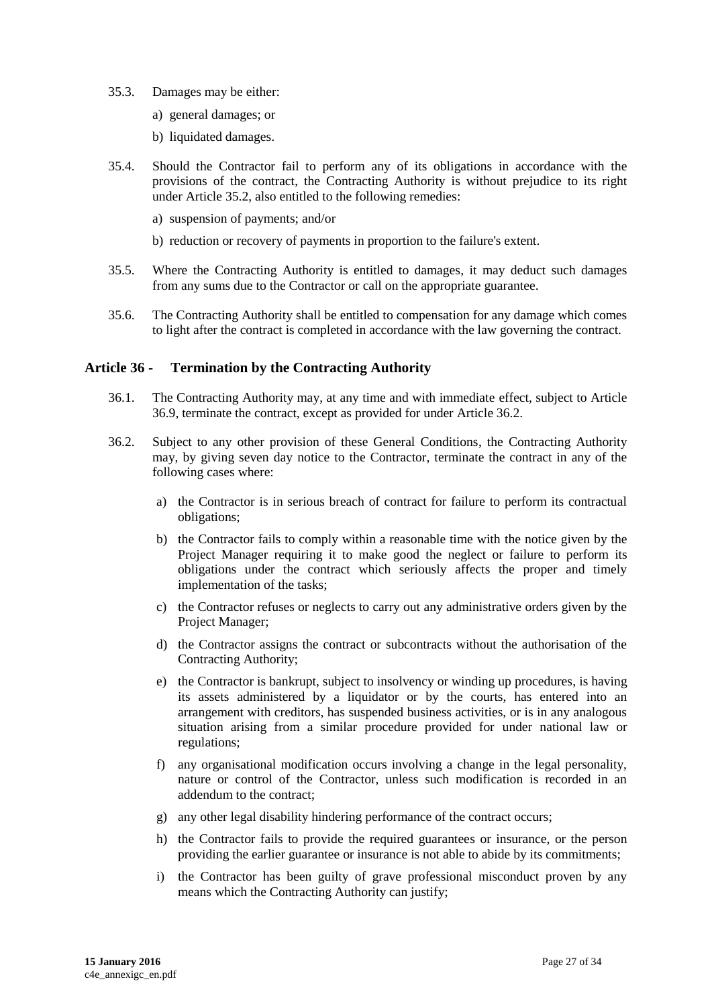- 35.3. Damages may be either:
	- a) general damages; or
	- b) liquidated damages.
- 35.4. Should the Contractor fail to perform any of its obligations in accordance with the provisions of the contract, the Contracting Authority is without prejudice to its right under Article 35.2, also entitled to the following remedies:
	- a) suspension of payments; and/or
	- b) reduction or recovery of payments in proportion to the failure's extent.
- 35.5. Where the Contracting Authority is entitled to damages, it may deduct such damages from any sums due to the Contractor or call on the appropriate guarantee.
- 35.6. The Contracting Authority shall be entitled to compensation for any damage which comes to light after the contract is completed in accordance with the law governing the contract.

#### <span id="page-26-0"></span>**Article 36 - Termination by the Contracting Authority**

- 36.1. The Contracting Authority may, at any time and with immediate effect, subject to Article 36.9, terminate the contract, except as provided for under Article 36.2.
- 36.2. Subject to any other provision of these General Conditions, the Contracting Authority may, by giving seven day notice to the Contractor, terminate the contract in any of the following cases where:
	- a) the Contractor is in serious breach of contract for failure to perform its contractual obligations;
	- b) the Contractor fails to comply within a reasonable time with the notice given by the Project Manager requiring it to make good the neglect or failure to perform its obligations under the contract which seriously affects the proper and timely implementation of the tasks;
	- c) the Contractor refuses or neglects to carry out any administrative orders given by the Project Manager;
	- d) the Contractor assigns the contract or subcontracts without the authorisation of the Contracting Authority;
	- e) the Contractor is bankrupt, subject to insolvency or winding up procedures, is having its assets administered by a liquidator or by the courts, has entered into an arrangement with creditors, has suspended business activities, or is in any analogous situation arising from a similar procedure provided for under national law or regulations;
	- f) any organisational modification occurs involving a change in the legal personality, nature or control of the Contractor, unless such modification is recorded in an addendum to the contract;
	- g) any other legal disability hindering performance of the contract occurs;
	- h) the Contractor fails to provide the required guarantees or insurance, or the person providing the earlier guarantee or insurance is not able to abide by its commitments;
	- i) the Contractor has been guilty of grave professional misconduct proven by any means which the Contracting Authority can justify;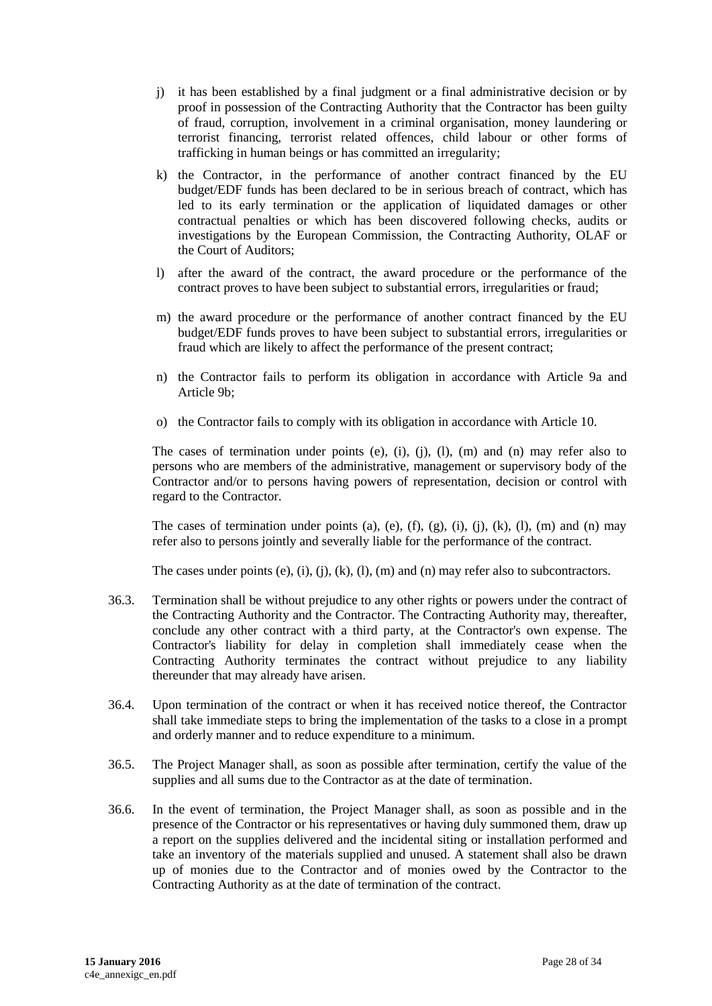- j) it has been established by a final judgment or a final administrative decision or by proof in possession of the Contracting Authority that the Contractor has been guilty of fraud, corruption, involvement in a criminal organisation, money laundering or terrorist financing, terrorist related offences, child labour or other forms of trafficking in human beings or has committed an irregularity;
- k) the Contractor, in the performance of another contract financed by the EU budget/EDF funds has been declared to be in serious breach of contract, which has led to its early termination or the application of liquidated damages or other contractual penalties or which has been discovered following checks, audits or investigations by the European Commission, the Contracting Authority, OLAF or the Court of Auditors;
- l) after the award of the contract, the award procedure or the performance of the contract proves to have been subject to substantial errors, irregularities or fraud;
- m) the award procedure or the performance of another contract financed by the EU budget/EDF funds proves to have been subject to substantial errors, irregularities or fraud which are likely to affect the performance of the present contract;
- n) the Contractor fails to perform its obligation in accordance with Article 9a and Article 9b;
- o) the Contractor fails to comply with its obligation in accordance with Article 10.

The cases of termination under points (e), (i), (j), (l), (m) and (n) may refer also to persons who are members of the administrative, management or supervisory body of the Contractor and/or to persons having powers of representation, decision or control with regard to the Contractor.

The cases of termination under points (a), (e), (f), (g), (i), (j), (k), (l), (m) and (n) may refer also to persons jointly and severally liable for the performance of the contract.

The cases under points (e), (i), (j), (k), (l), (m) and (n) may refer also to subcontractors.

- 36.3. Termination shall be without prejudice to any other rights or powers under the contract of the Contracting Authority and the Contractor. The Contracting Authority may, thereafter, conclude any other contract with a third party, at the Contractor's own expense. The Contractor's liability for delay in completion shall immediately cease when the Contracting Authority terminates the contract without prejudice to any liability thereunder that may already have arisen.
- 36.4. Upon termination of the contract or when it has received notice thereof, the Contractor shall take immediate steps to bring the implementation of the tasks to a close in a prompt and orderly manner and to reduce expenditure to a minimum.
- 36.5. The Project Manager shall, as soon as possible after termination, certify the value of the supplies and all sums due to the Contractor as at the date of termination.
- 36.6. In the event of termination, the Project Manager shall, as soon as possible and in the presence of the Contractor or his representatives or having duly summoned them, draw up a report on the supplies delivered and the incidental siting or installation performed and take an inventory of the materials supplied and unused. A statement shall also be drawn up of monies due to the Contractor and of monies owed by the Contractor to the Contracting Authority as at the date of termination of the contract.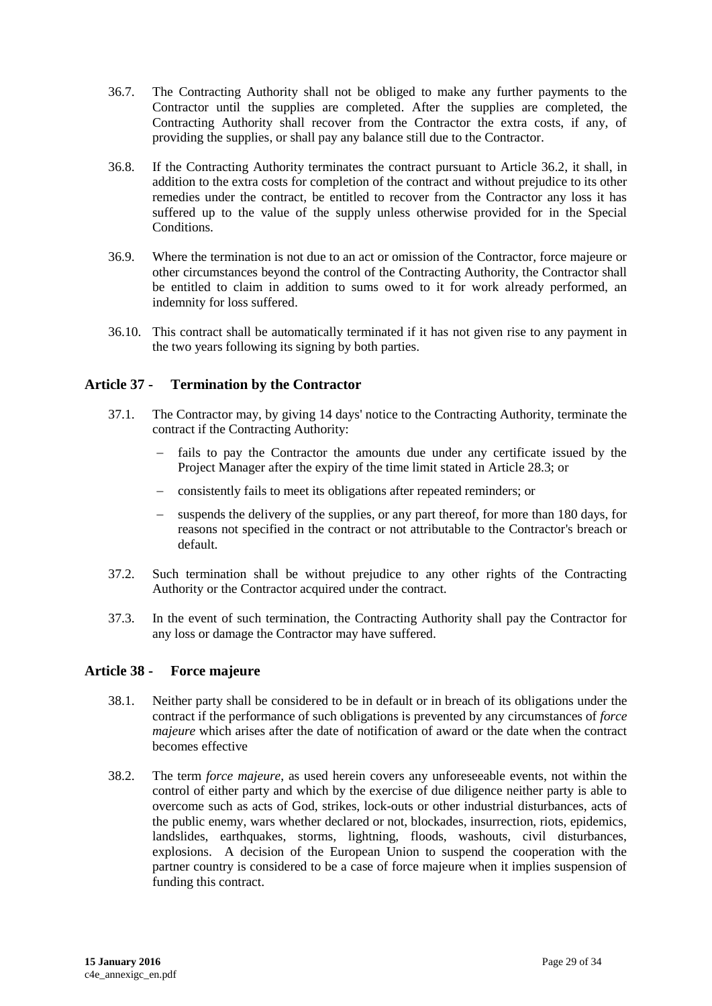- 36.7. The Contracting Authority shall not be obliged to make any further payments to the Contractor until the supplies are completed. After the supplies are completed, the Contracting Authority shall recover from the Contractor the extra costs, if any, of providing the supplies, or shall pay any balance still due to the Contractor.
- 36.8. If the Contracting Authority terminates the contract pursuant to Article 36.2, it shall, in addition to the extra costs for completion of the contract and without prejudice to its other remedies under the contract, be entitled to recover from the Contractor any loss it has suffered up to the value of the supply unless otherwise provided for in the Special Conditions.
- 36.9. Where the termination is not due to an act or omission of the Contractor, force majeure or other circumstances beyond the control of the Contracting Authority, the Contractor shall be entitled to claim in addition to sums owed to it for work already performed, an indemnity for loss suffered.
- 36.10. This contract shall be automatically terminated if it has not given rise to any payment in the two years following its signing by both parties.

### <span id="page-28-0"></span>**Article 37 - Termination by the Contractor**

- 37.1. The Contractor may, by giving 14 days' notice to the Contracting Authority, terminate the contract if the Contracting Authority:
	- fails to pay the Contractor the amounts due under any certificate issued by the Project Manager after the expiry of the time limit stated in Article 28.3; or
	- consistently fails to meet its obligations after repeated reminders; or
	- suspends the delivery of the supplies, or any part thereof, for more than 180 days, for reasons not specified in the contract or not attributable to the Contractor's breach or default.
- 37.2. Such termination shall be without prejudice to any other rights of the Contracting Authority or the Contractor acquired under the contract.
- 37.3. In the event of such termination, the Contracting Authority shall pay the Contractor for any loss or damage the Contractor may have suffered.

#### <span id="page-28-1"></span>**Article 38 - Force majeure**

- 38.1. Neither party shall be considered to be in default or in breach of its obligations under the contract if the performance of such obligations is prevented by any circumstances of *force majeure* which arises after the date of notification of award or the date when the contract becomes effective
- 38.2. The term *force majeure*, as used herein covers any unforeseeable events, not within the control of either party and which by the exercise of due diligence neither party is able to overcome such as acts of God, strikes, lock-outs or other industrial disturbances, acts of the public enemy, wars whether declared or not, blockades, insurrection, riots, epidemics, landslides, earthquakes, storms, lightning, floods, washouts, civil disturbances, explosions. A decision of the European Union to suspend the cooperation with the partner country is considered to be a case of force majeure when it implies suspension of funding this contract.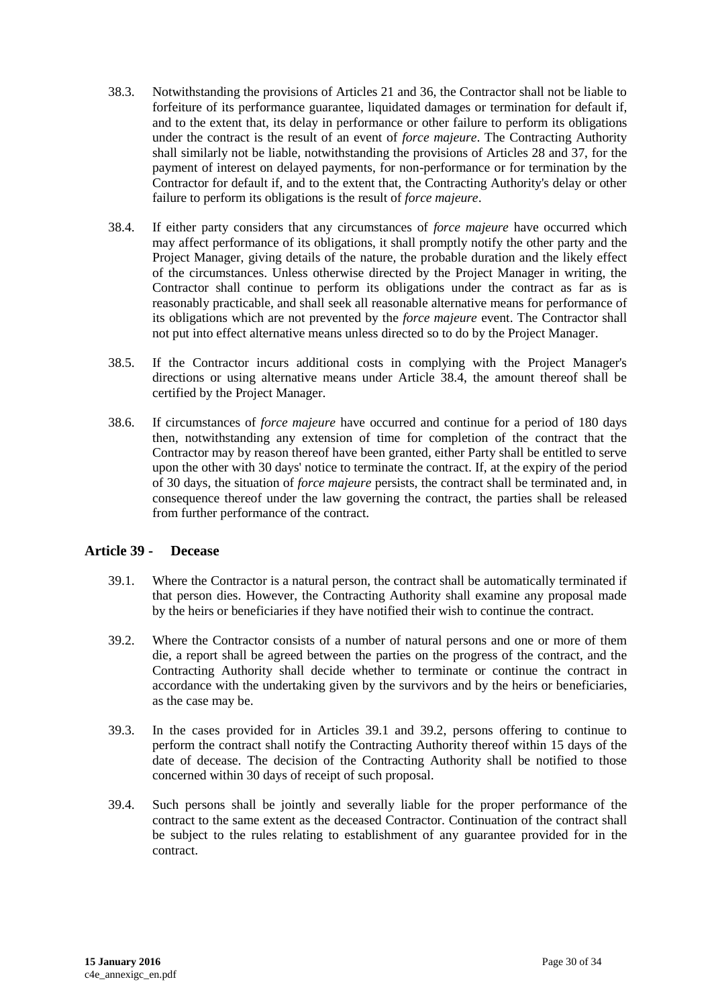- 38.3. Notwithstanding the provisions of Articles 21 and 36, the Contractor shall not be liable to forfeiture of its performance guarantee, liquidated damages or termination for default if, and to the extent that, its delay in performance or other failure to perform its obligations under the contract is the result of an event of *force majeure*. The Contracting Authority shall similarly not be liable, notwithstanding the provisions of Articles 28 and 37, for the payment of interest on delayed payments, for non-performance or for termination by the Contractor for default if, and to the extent that, the Contracting Authority's delay or other failure to perform its obligations is the result of *force majeure*.
- 38.4. If either party considers that any circumstances of *force majeure* have occurred which may affect performance of its obligations, it shall promptly notify the other party and the Project Manager, giving details of the nature, the probable duration and the likely effect of the circumstances. Unless otherwise directed by the Project Manager in writing, the Contractor shall continue to perform its obligations under the contract as far as is reasonably practicable, and shall seek all reasonable alternative means for performance of its obligations which are not prevented by the *force majeure* event. The Contractor shall not put into effect alternative means unless directed so to do by the Project Manager.
- 38.5. If the Contractor incurs additional costs in complying with the Project Manager's directions or using alternative means under Article 38.4, the amount thereof shall be certified by the Project Manager.
- 38.6. If circumstances of *force majeure* have occurred and continue for a period of 180 days then, notwithstanding any extension of time for completion of the contract that the Contractor may by reason thereof have been granted, either Party shall be entitled to serve upon the other with 30 days' notice to terminate the contract. If, at the expiry of the period of 30 days, the situation of *force majeure* persists, the contract shall be terminated and, in consequence thereof under the law governing the contract, the parties shall be released from further performance of the contract.

#### <span id="page-29-0"></span>**Article 39 - Decease**

- 39.1. Where the Contractor is a natural person, the contract shall be automatically terminated if that person dies. However, the Contracting Authority shall examine any proposal made by the heirs or beneficiaries if they have notified their wish to continue the contract.
- 39.2. Where the Contractor consists of a number of natural persons and one or more of them die, a report shall be agreed between the parties on the progress of the contract, and the Contracting Authority shall decide whether to terminate or continue the contract in accordance with the undertaking given by the survivors and by the heirs or beneficiaries, as the case may be.
- 39.3. In the cases provided for in Articles 39.1 and 39.2, persons offering to continue to perform the contract shall notify the Contracting Authority thereof within 15 days of the date of decease. The decision of the Contracting Authority shall be notified to those concerned within 30 days of receipt of such proposal.
- 39.4. Such persons shall be jointly and severally liable for the proper performance of the contract to the same extent as the deceased Contractor. Continuation of the contract shall be subject to the rules relating to establishment of any guarantee provided for in the contract.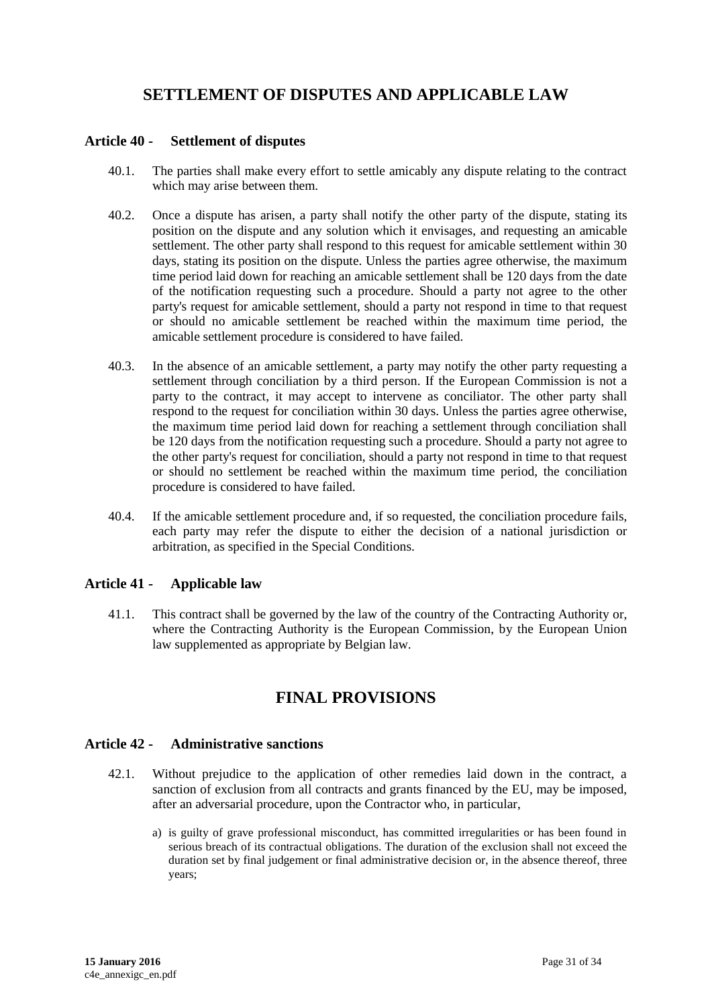# **SETTLEMENT OF DISPUTES AND APPLICABLE LAW**

#### <span id="page-30-1"></span><span id="page-30-0"></span>**Article 40 - Settlement of disputes**

- 40.1. The parties shall make every effort to settle amicably any dispute relating to the contract which may arise between them.
- 40.2. Once a dispute has arisen, a party shall notify the other party of the dispute, stating its position on the dispute and any solution which it envisages, and requesting an amicable settlement. The other party shall respond to this request for amicable settlement within 30 days, stating its position on the dispute. Unless the parties agree otherwise, the maximum time period laid down for reaching an amicable settlement shall be 120 days from the date of the notification requesting such a procedure. Should a party not agree to the other party's request for amicable settlement, should a party not respond in time to that request or should no amicable settlement be reached within the maximum time period, the amicable settlement procedure is considered to have failed.
- 40.3. In the absence of an amicable settlement, a party may notify the other party requesting a settlement through conciliation by a third person. If the European Commission is not a party to the contract, it may accept to intervene as conciliator. The other party shall respond to the request for conciliation within 30 days. Unless the parties agree otherwise, the maximum time period laid down for reaching a settlement through conciliation shall be 120 days from the notification requesting such a procedure. Should a party not agree to the other party's request for conciliation, should a party not respond in time to that request or should no settlement be reached within the maximum time period, the conciliation procedure is considered to have failed.
- 40.4. If the amicable settlement procedure and, if so requested, the conciliation procedure fails, each party may refer the dispute to either the decision of a national jurisdiction or arbitration, as specified in the Special Conditions.

#### <span id="page-30-2"></span>**Article 41 - Applicable law**

<span id="page-30-3"></span>41.1. This contract shall be governed by the law of the country of the Contracting Authority or, where the Contracting Authority is the European Commission, by the European Union law supplemented as appropriate by Belgian law.

## **FINAL PROVISIONS**

#### <span id="page-30-4"></span>**Article 42 - Administrative sanctions**

- 42.1. Without prejudice to the application of other remedies laid down in the contract, a sanction of exclusion from all contracts and grants financed by the EU, may be imposed, after an adversarial procedure, upon the Contractor who, in particular,
	- a) is guilty of grave professional misconduct, has committed irregularities or has been found in serious breach of its contractual obligations. The duration of the exclusion shall not exceed the duration set by final judgement or final administrative decision or, in the absence thereof, three years;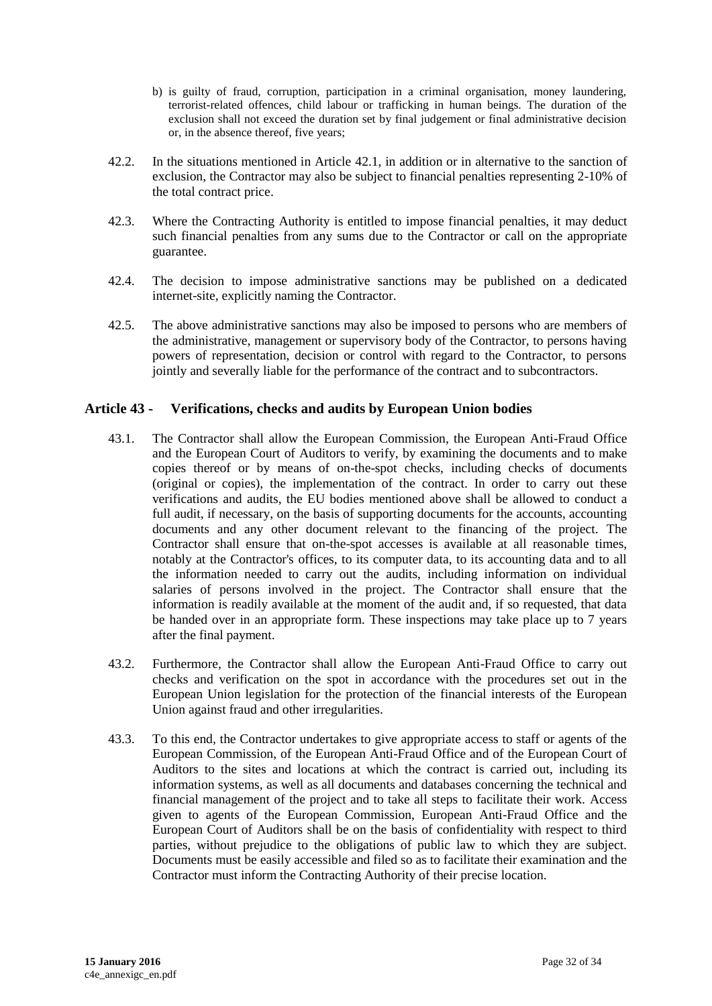- b) is guilty of fraud, corruption, participation in a criminal organisation, money laundering, terrorist-related offences, child labour or trafficking in human beings. The duration of the exclusion shall not exceed the duration set by final judgement or final administrative decision or, in the absence thereof, five years;
- 42.2. In the situations mentioned in Article 42.1, in addition or in alternative to the sanction of exclusion, the Contractor may also be subject to financial penalties representing 2-10% of the total contract price.
- 42.3. Where the Contracting Authority is entitled to impose financial penalties, it may deduct such financial penalties from any sums due to the Contractor or call on the appropriate guarantee.
- 42.4. The decision to impose administrative sanctions may be published on a dedicated internet-site, explicitly naming the Contractor.
- 42.5. The above administrative sanctions may also be imposed to persons who are members of the administrative, management or supervisory body of the Contractor, to persons having powers of representation, decision or control with regard to the Contractor, to persons jointly and severally liable for the performance of the contract and to subcontractors.

#### <span id="page-31-0"></span>**Article 43 - Verifications, checks and audits by European Union bodies**

- 43.1. The Contractor shall allow the European Commission, the European Anti-Fraud Office and the European Court of Auditors to verify, by examining the documents and to make copies thereof or by means of on-the-spot checks, including checks of documents (original or copies), the implementation of the contract. In order to carry out these verifications and audits, the EU bodies mentioned above shall be allowed to conduct a full audit, if necessary, on the basis of supporting documents for the accounts, accounting documents and any other document relevant to the financing of the project. The Contractor shall ensure that on-the-spot accesses is available at all reasonable times, notably at the Contractor's offices, to its computer data, to its accounting data and to all the information needed to carry out the audits, including information on individual salaries of persons involved in the project. The Contractor shall ensure that the information is readily available at the moment of the audit and, if so requested, that data be handed over in an appropriate form. These inspections may take place up to 7 years after the final payment.
- 43.2. Furthermore, the Contractor shall allow the European Anti-Fraud Office to carry out checks and verification on the spot in accordance with the procedures set out in the European Union legislation for the protection of the financial interests of the European Union against fraud and other irregularities.
- 43.3. To this end, the Contractor undertakes to give appropriate access to staff or agents of the European Commission, of the European Anti-Fraud Office and of the European Court of Auditors to the sites and locations at which the contract is carried out, including its information systems, as well as all documents and databases concerning the technical and financial management of the project and to take all steps to facilitate their work. Access given to agents of the European Commission, European Anti-Fraud Office and the European Court of Auditors shall be on the basis of confidentiality with respect to third parties, without prejudice to the obligations of public law to which they are subject. Documents must be easily accessible and filed so as to facilitate their examination and the Contractor must inform the Contracting Authority of their precise location.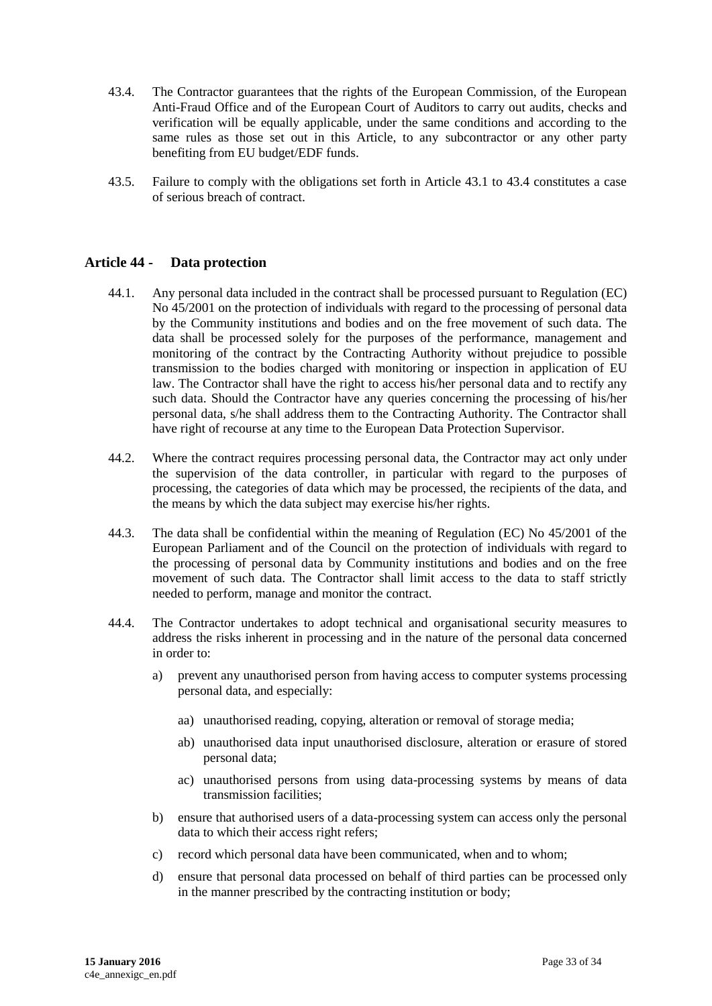- 43.4. The Contractor guarantees that the rights of the European Commission, of the European Anti-Fraud Office and of the European Court of Auditors to carry out audits, checks and verification will be equally applicable, under the same conditions and according to the same rules as those set out in this Article, to any subcontractor or any other party benefiting from EU budget/EDF funds.
- 43.5. Failure to comply with the obligations set forth in Article 43.1 to 43.4 constitutes a case of serious breach of contract.

#### <span id="page-32-0"></span>**Article 44 - Data protection**

- 44.1. Any personal data included in the contract shall be processed pursuant to Regulation (EC) No 45/2001 on the protection of individuals with regard to the processing of personal data by the Community institutions and bodies and on the free movement of such data. The data shall be processed solely for the purposes of the performance, management and monitoring of the contract by the Contracting Authority without prejudice to possible transmission to the bodies charged with monitoring or inspection in application of EU law. The Contractor shall have the right to access his/her personal data and to rectify any such data. Should the Contractor have any queries concerning the processing of his/her personal data, s/he shall address them to the Contracting Authority. The Contractor shall have right of recourse at any time to the European Data Protection Supervisor.
- 44.2. Where the contract requires processing personal data, the Contractor may act only under the supervision of the data controller, in particular with regard to the purposes of processing, the categories of data which may be processed, the recipients of the data, and the means by which the data subject may exercise his/her rights.
- 44.3. The data shall be confidential within the meaning of Regulation (EC) No 45/2001 of the European Parliament and of the Council on the protection of individuals with regard to the processing of personal data by Community institutions and bodies and on the free movement of such data. The Contractor shall limit access to the data to staff strictly needed to perform, manage and monitor the contract.
- 44.4. The Contractor undertakes to adopt technical and organisational security measures to address the risks inherent in processing and in the nature of the personal data concerned in order to:
	- a) prevent any unauthorised person from having access to computer systems processing personal data, and especially:
		- aa) unauthorised reading, copying, alteration or removal of storage media;
		- ab) unauthorised data input unauthorised disclosure, alteration or erasure of stored personal data;
		- ac) unauthorised persons from using data-processing systems by means of data transmission facilities;
	- b) ensure that authorised users of a data-processing system can access only the personal data to which their access right refers;
	- c) record which personal data have been communicated, when and to whom;
	- d) ensure that personal data processed on behalf of third parties can be processed only in the manner prescribed by the contracting institution or body;